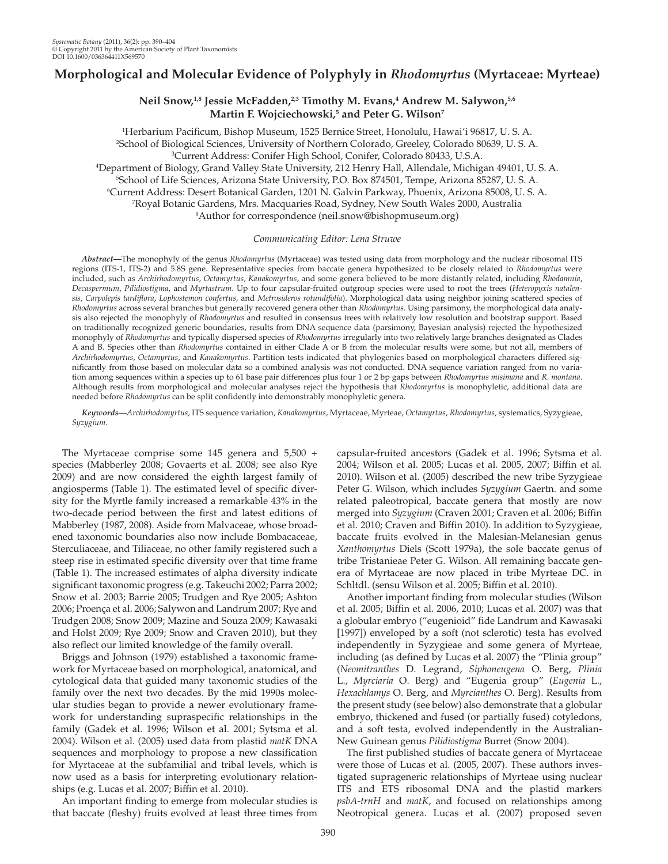# **Morphological and Molecular Evidence of Polyphyly in** *Rhodomyrtus* **(Myrtaceae: Myrteae)**

# Neil Snow,<sup>1,8</sup> Jessie McFadden,<sup>2,3</sup> Timothy M. Evans,<sup>4</sup> Andrew M. Salywon,<sup>5,6</sup> Martin F. Wojciechowski,<sup>5</sup> and Peter G. Wilson<sup>7</sup>

1 Herbarium Pacificum, Bishop Museum, 1525 Bernice Street, Honolulu, Hawai'i 96817, U. S. A. 2 <sup>2</sup>School of Biological Sciences, University of Northern Colorado, Greeley, Colorado 80639, U.S.A. <sup>3</sup>Current Address: Conifer High School, Conifer, Colorado 80433, U.S.A. <sup>4</sup>Department of Biology, Grand Valley State University, 212 Henry Hall, Allendale, Michigan 49401, U.S. A. <sup>5</sup>School of Life Sciences, Arizona State University, P.O. Box 874501, Tempe, Arizona 85287, U. S. A. Current Address: Desert Botanical Garden, 1201 N. Galvin Parkway, Phoenix, Arizona 85008, U. S. A. 7 Royal Botanic Gardens, Mrs. Macquaries Road, Sydney, New South Wales 2000, Australia 8 <sup>8</sup>Author for correspondence (neil.snow@bishopmuseum.org)

# *Communicating Editor: Lena Struwe*

 *Abstract —* The monophyly of the genus *Rhodomyrtus* (Myrtaceae) was tested using data from morphology and the nuclear ribosomal ITS regions (ITS-1, ITS-2) and 5.8S gene. Representative species from baccate genera hypothesized to be closely related to *Rhodomyrtus* were included, such as *Archirhodomyrtus* , *Octamyrtus* , *Kanakomyrtus* , and some genera believed to be more distantly related, including *Rhodamnia* , Decaspermum, Pilidiostigma, and Myrtastrum. Up to four capsular-fruited outgroup species were used to root the trees (*Heteropyxis natalensis* , *Carpolepis tardiflora* , *Lophostemon confertus,* and *Metrosideros rotundifolia* ). Morphological data using neighbor joining scattered species of *Rhodomyrtus* across several branches but generally recovered genera other than *Rhodomyrtus* . Using parsimony, the morphological data analysis also rejected the monophyly of *Rhodomyrtus* and resulted in consensus trees with relatively low resolution and bootstrap support. Based on traditionally recognized generic boundaries, results from DNA sequence data (parsimony, Bayesian analysis) rejected the hypothesized monophyly of *Rhodomyrtus* and typically dispersed species of *Rhodomyrtus* irregularly into two relatively large branches designated as Clades A and B. Species other than *Rhodomyrtus* contained in either Clade A or B from the molecular results were some, but not all, members of *Archirhodomyrtus* , *Octamyrtus* , and *Kanakomyrtus* . Partition tests indicated that phylogenies based on morphological characters differed significantly from those based on molecular data so a combined analysis was not conducted. DNA sequence variation ranged from no variation among sequences within a species up to 61 base pair differences plus four 1 or 2 bp gaps between *Rhodomyrtus misimana* and *R. montana* . Although results from morphological and molecular analyses reject the hypothesis that *Rhodomyrtus* is monophyletic, additional data are needed before *Rhodomyrtus* can be split confidently into demonstrably monophyletic genera.

 *Keywords—Archirhodomyrtus* , ITS sequence variation , *Kanakomyrtus* , Myrtaceae , Myrteae , *Octamyrtus* , *Rhodomyrtus* , systematics , Syzygieae , *Syzygium* .

 The Myrtaceae comprise some 145 genera and 5,500 + species (Mabberley 2008; Govaerts et al. 2008; see also Rye 2009) and are now considered the eighth largest family of angiosperms (Table 1). The estimated level of specific diversity for the Myrtle family increased a remarkable 43% in the two-decade period between the first and latest editions of Mabberley (1987, 2008). Aside from Malvaceae, whose broadened taxonomic boundaries also now include Bombacaceae, Sterculiaceae, and Tiliaceae, no other family registered such a steep rise in estimated specific diversity over that time frame (Table 1). The increased estimates of alpha diversity indicate significant taxonomic progress (e.g. Takeuchi 2002; Parra 2002; Snow et al. 2003; Barrie 2005; Trudgen and Rye 2005; Ashton 2006; Proença et al. 2006; Salywon and Landrum 2007; Rye and Trudgen 2008; Snow 2009; Mazine and Souza 2009; Kawasaki and Holst 2009; Rye 2009; Snow and Craven 2010), but they also reflect our limited knowledge of the family overall.

 Briggs and Johnson (1979) established a taxonomic framework for Myrtaceae based on morphological, anatomical, and cytological data that guided many taxonomic studies of the family over the next two decades. By the mid 1990s molecular studies began to provide a newer evolutionary framework for understanding supraspecific relationships in the family (Gadek et al. 1996; Wilson et al. 2001; Sytsma et al. 2004). Wilson et al. (2005) used data from plastid *matK* DNA sequences and morphology to propose a new classification for Myrtaceae at the subfamilial and tribal levels, which is now used as a basis for interpreting evolutionary relationships (e.g. Lucas et al. 2007; Biffin et al. 2010).

 An important finding to emerge from molecular studies is that baccate (fleshy) fruits evolved at least three times from capsular-fruited ancestors (Gadek et al. 1996; Sytsma et al. 2004; Wilson et al. 2005; Lucas et al. 2005, 2007; Biffin et al. 2010). Wilson et al. (2005) described the new tribe Syzygieae Peter G. Wilson, which includes *Syzygium* Gaertn. and some related paleotropical, baccate genera that mostly are now merged into *Syzygium* (Craven 2001; Craven et al. 2006; Biffin et al. 2010; Craven and Biffin 2010). In addition to Syzygieae, baccate fruits evolved in the Malesian-Melanesian genus *Xanthomyrtus* Diels (Scott 1979a), the sole baccate genus of tribe Tristanieae Peter G. Wilson. All remaining baccate genera of Myrtaceae are now placed in tribe Myrteae DC. in Schltdl. (sensu Wilson et al. 2005; Biffin et al. 2010).

 Another important finding from molecular studies ( Wilson et al. 2005; Biffin et al. 2006, 2010; Lucas et al. 2007) was that a globular embryo ("eugenioid" fide Landrum and Kawasaki [1997]) enveloped by a soft (not sclerotic) testa has evolved independently in Syzygieae and some genera of Myrteae, including (as defined by Lucas et al. 2007) the "Plinia group" ( *Neomitranthes* D. Legrand, *Siphoneugena* O. Berg, *Plinia* L., *Myrciaria* O. Berg) and "Eugenia group" (*Eugenia* L., *Hexachlamys* O. Berg, and *Myrcianthes* O. Berg). Results from the present study (see below) also demonstrate that a globular embryo, thickened and fused (or partially fused) cotyledons, and a soft testa, evolved independently in the Australian-New Guinean genus *Pilidiostigma* Burret (Snow 2004).

 The first published studies of baccate genera of Myrtaceae were those of Lucas et al. (2005, 2007). These authors investigated suprageneric relationships of Myrteae using nuclear ITS and ETS ribosomal DNA and the plastid markers psbA-trnH and matK, and focused on relationships among Neotropical genera. Lucas et al. (2007) proposed seven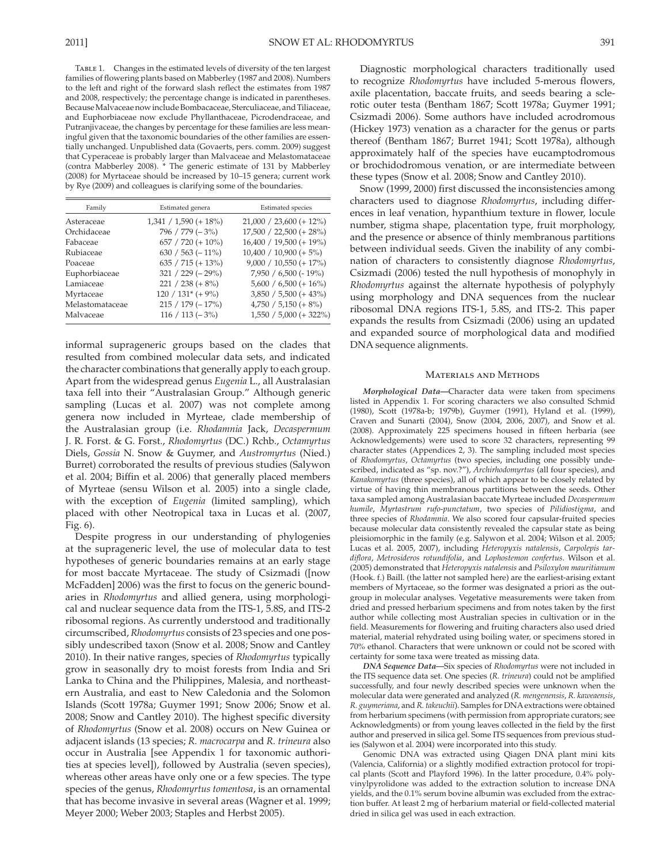TABLE 1. Changes in the estimated levels of diversity of the ten largest families of flowering plants based on Mabberley (1987 and 2008). Numbers to the left and right of the forward slash reflect the estimates from 1987 and 2008, respectively; the percentage change is indicated in parentheses. Because Malvaceae now include Bombacaceae, Sterculiaceae, and Tiliaceae, and Euphorbiaceae now exclude Phyllanthaceae, Picrodendraceae, and Putranjivaceae, the changes by percentage for these families are less meaningful given that the taxonomic boundaries of the other families are essentially unchanged. Unpublished data (Govaerts, pers. comm. 2009) suggest that Cyperaceae is probably larger than Malvaceae and Melastomataceae (contra Mabberley 2008). \* The generic estimate of 131 by Mabberley (2008) for Myrtaceae should be increased by 10–15 genera; current work by Rye (2009) and colleagues is clarifying some of the boundaries.

| Family          | Estimated genera                | <b>Estimated</b> species   |  |  |
|-----------------|---------------------------------|----------------------------|--|--|
| Asteraceae      | $1,341 / 1,590 (+ 18\%)$        | $21,000 / 23,600 (+ 12\%)$ |  |  |
| Orchidaceae     | $796 / 779 (-3%)$               | $17,500 / 22,500 (+ 28\%)$ |  |  |
| Fabaceae        | $657 / 720 (+ 10\%)$            | $16,400 / 19,500 (+ 19\%)$ |  |  |
| Rubiaceae       | $630 / 563 (-11\%)$             | $10,400 / 10,900 (+ 5%)$   |  |  |
| Poaceae         | $635 / 715 (+ 13\%)$            | $9,000 / 10,550 (+ 17%)$   |  |  |
| Euphorbiaceae   | $321 / 229 (-29\%)$             | $7,950 / 6,500 (-19\%)$    |  |  |
| Lamiaceae       | $221 / 238 (+ 8\%)$             | $5,600 / 6,500 (+ 16\%)$   |  |  |
| Myrtaceae       | $120 / 131$ <sup>*</sup> (+ 9%) | $3,850 / 5,500 (+ 43%)$    |  |  |
| Melastomataceae | $215 / 179 (-17%)$              | $4,750 / 5,150 (+ 8\%)$    |  |  |
| Malvaceae       | $116 / 113 (-3%)$               | $1,550 / 5,000 (+ 322\%)$  |  |  |

informal suprageneric groups based on the clades that resulted from combined molecular data sets, and indicated the character combinations that generally apply to each group. Apart from the widespread genus *Eugenia* L., all Australasian taxa fell into their "Australasian Group." Although generic sampling (Lucas et al. 2007) was not complete among genera now included in Myrteae, clade membership of the Australasian group (i.e. *Rhodamnia* Jack, *Decaspermum* J. R. Forst. & G. Forst., *Rhodomyrtus* (DC.) Rchb., *Octamyrtus* Diels, *Gossia* N. Snow & Guymer, and *Austromyrtus* (Nied.) Burret) corroborated the results of previous studies (Salywon et al. 2004; Biffin et al. 2006) that generally placed members of Myrteae (sensu Wilson et al. 2005) into a single clade, with the exception of *Eugenia* (limited sampling), which placed with other Neotropical taxa in Lucas et al. (2007, Fig. 6).

 Despite progress in our understanding of phylogenies at the suprageneric level, the use of molecular data to test hypotheses of generic boundaries remains at an early stage for most baccate Myrtaceae. The study of Csizmadi ([now McFadden] 2006) was the first to focus on the generic boundaries in *Rhodomyrtus* and allied genera, using morphological and nuclear sequence data from the ITS-1, 5.8S, and ITS-2 ribosomal regions. As currently understood and traditionally circumscribed, *Rhodomyrtus* consists of 23 species and one possibly undescribed taxon (Snow et al. 2008; Snow and Cantley 2010). In their native ranges, species of *Rhodomyrtus* typically grow in seasonally dry to moist forests from India and Sri Lanka to China and the Philippines, Malesia, and northeastern Australia, and east to New Caledonia and the Solomon Islands (Scott 1978a; Guymer 1991; Snow 2006; Snow et al. 2008; Snow and Cantley 2010). The highest specific diversity of *Rhodomyrtus* (Snow et al. 2008) occurs on New Guinea or adjacent islands (13 species; *R. macrocarpa* and *R. trineura* also occur in Australia [see Appendix 1 for taxonomic authorities at species level]), followed by Australia (seven species), whereas other areas have only one or a few species. The type species of the genus, *Rhodomyrtus tomentosa*, is an ornamental that has become invasive in several areas (Wagner et al. 1999; Meyer 2000; Weber 2003; Staples and Herbst 2005).

 Diagnostic morphological characters traditionally used to recognize *Rhodomyrtus* have included 5-merous flowers, axile placentation, baccate fruits, and seeds bearing a sclerotic outer testa (Bentham 1867; Scott 1978a; Guymer 1991; Csizmadi 2006). Some authors have included acrodromous (Hickey 1973) venation as a character for the genus or parts thereof (Bentham 1867; Burret 1941; Scott 1978a), although approximately half of the species have eucamptodromous or brochidodromous venation, or are intermediate between these types (Snow et al. 2008; Snow and Cantley 2010).

Snow (1999, 2000) first discussed the inconsistencies among characters used to diagnose *Rhodomyrtus* , including differences in leaf venation, hypanthium texture in flower, locule number, stigma shape, placentation type, fruit morphology, and the presence or absence of thinly membranous partitions between individual seeds. Given the inability of any combination of characters to consistently diagnose *Rhodomyrtus* , Csizmadi (2006) tested the null hypothesis of monophyly in *Rhodomyrtus* against the alternate hypothesis of polyphyly using morphology and DNA sequences from the nuclear ribosomal DNA regions ITS-1, 5.8S, and ITS-2. This paper expands the results from Csizmadi (2006) using an updated and expanded source of morphological data and modified DNA sequence alignments.

## Materials and Methods

*Morphological Data*—Character data were taken from specimens listed in Appendix 1. For scoring characters we also consulted Schmid (1980), Scott (1978a-b; 1979b), Guymer (1991), Hyland et al. (1999), Craven and Sunarti (2004), Snow (2004, 2006, 2007), and Snow et al. (2008) . Approximately 225 specimens housed in fifteen herbaria (see Acknowledgements) were used to score 32 characters, representing 99 character states (Appendices 2, 3). The sampling included most species of *Rhodomyrtus* , *Octamyrtus* (two species, including one possibly undescribed, indicated as "sp. nov.?"), *Archirhodomyrtus* (all four species), and *Kanakomyrtus* (three species), all of which appear to be closely related by virtue of having thin membranous partitions between the seeds. Other taxa sampled among Australasian baccate Myrteae included *Decaspermum humile* , *Myrtastrum rufo-punctatum* , two species of *Pilidiostigma* , and three species of *Rhodamnia* . We also scored four capsular-fruited species because molecular data consistently revealed the capsular state as being pleisiomorphic in the family (e.g. Salywon et al. 2004; Wilson et al. 2005; Lucas et al. 2005, 2007), including *Heteropyxis natalensis*, *Carpolepis tardiflora* , *Metrosideros rotundifolia* , and *Lophostemon confertus* . Wilson et al. (2005) demonstrated that *Heteropyxis natalensis* and *Psiloxylon mauritianum* (Hook. f.) Baill. (the latter not sampled here) are the earliest-arising extant members of Myrtaceae, so the former was designated a priori as the outgroup in molecular analyses. Vegetative measurements were taken from dried and pressed herbarium specimens and from notes taken by the first author while collecting most Australian species in cultivation or in the field. Measurements for flowering and fruiting characters also used dried material, material rehydrated using boiling water, or specimens stored in 70% ethanol. Characters that were unknown or could not be scored with certainty for some taxa were treated as missing data.

 *DNA Sequence Data—* Six species of *Rhodomyrtus* were not included in the ITS sequence data set. One species (*R. trineura*) could not be amplified successfully, and four newly described species were unknown when the molecular data were generated and analyzed ( *R. mengenensis* , *R. kaweaensis* , *R. guymeriana* , and *R. takeuchii* ). Samples for DNA extractions were obtained from herbarium specimens (with permission from appropriate curators; see Acknowledgments) or from young leaves collected in the field by the first author and preserved in silica gel. Some ITS sequences from previous studies (Salywon et al. 2004) were incorporated into this study.

 Genomic DNA was extracted using Qiagen DNA plant mini kits (Valencia, California) or a slightly modified extraction protocol for tropical plants (Scott and Playford 1996). In the latter procedure, 0.4% polyvinylpyrolidone was added to the extraction solution to increase DNA yields, and the 0.1% serum bovine albumin was excluded from the extraction buffer. At least 2 mg of herbarium material or field-collected material dried in silica gel was used in each extraction.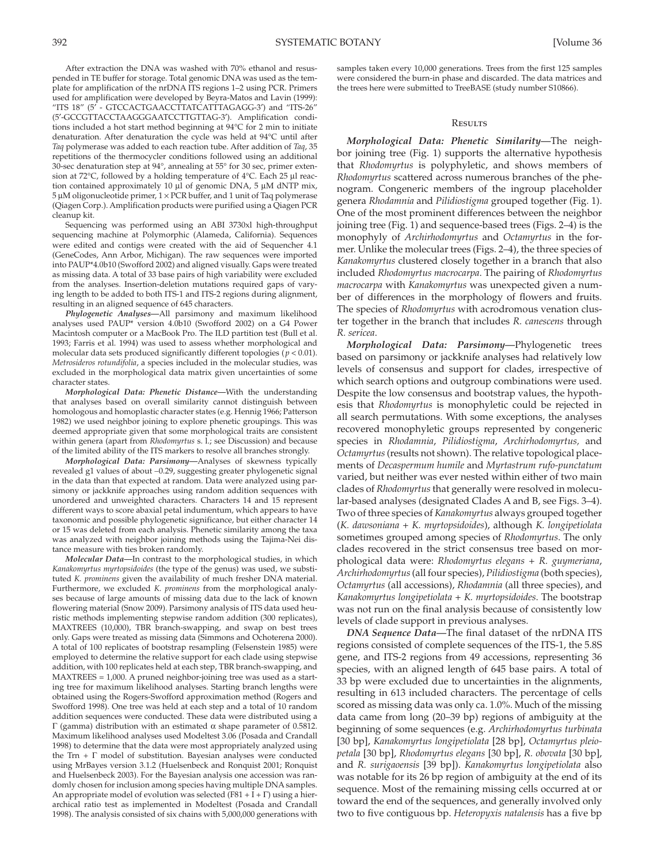After extraction the DNA was washed with 70% ethanol and resuspended in TE buffer for storage. Total genomic DNA was used as the template for amplification of the nrDNA ITS regions 1–2 using PCR. Primers used for amplification were developed by Beyra-Matos and Lavin (1999) : "ITS 18" (5′ - GTCCACTGAACCTTATCATTTAGAGG-3′) and "ITS-26" (5′-GCCGTTACCTAAGGGAATCCTTGTTAG-3′). Amplification conditions included a hot start method beginning at 94°C for 2 min to initiate

denaturation. After denaturation the cycle was held at 94°C until after *Taq* polymerase was added to each reaction tube. After addition of *Taq*, 35 repetitions of the thermocycler conditions followed using an additional 30-sec denaturation step at 94°, annealing at 55° for 30 sec, primer extension at 72°C, followed by a holding temperature of 4°C. Each 25 μl reaction contained approximately 10 μl of genomic DNA, 5 μM dNTP mix, 5 μM oligonucleotide primer, 1 × PCR buffer, and 1 unit of Taq polymerase (Qiagen Corp.). Amplification products were purified using a Qiagen PCR cleanup kit.

 Sequencing was performed using an ABI 3730xl high-throughput sequencing machine at Polymorphic (Alameda, California). Sequences were edited and contigs were created with the aid of Sequencher 4.1 (GeneCodes, Ann Arbor, Michigan). The raw sequences were imported into PAUP\*4.0b10 (Swofford 2002) and aligned visually. Gaps were treated as missing data. A total of 33 base pairs of high variability were excluded from the analyses. Insertion-deletion mutations required gaps of varying length to be added to both ITS-1 and ITS-2 regions during alignment, resulting in an aligned sequence of 645 characters.

 *Phylogenetic Analyses—* All parsimony and maximum likelihood analyses used PAUP\* version 4.0b10 (Swofford 2002) on a G4 Power Macintosh computer or a MacBook Pro. The ILD partition test (Bull et al. 1993; Farris et al. 1994) was used to assess whether morphological and molecular data sets produced significantly different topologies ( $p < 0.01$ ). *Metrosideros rotundifolia* , a species included in the molecular studies, was excluded in the morphological data matrix given uncertainties of some character states.

 *Morphological Data: Phenetic Distance—* With the understanding that analyses based on overall similarity cannot distinguish between homologous and homoplastic character states (e.g. Hennig 1966; Patterson 1982) we used neighbor joining to explore phenetic groupings. This was deemed appropriate given that some morphological traits are consistent within genera (apart from *Rhodomyrtus* s. l.; see Discussion) and because of the limited ability of the ITS markers to resolve all branches strongly.

 *Morphological Data: Parsimony —* Analyses of skewness typically revealed g1 values of about -0.29, suggesting greater phylogenetic signal in the data than that expected at random. Data were analyzed using parsimony or jackknife approaches using random addition sequences with unordered and unweighted characters. Characters 14 and 15 represent different ways to score abaxial petal indumentum, which appears to have taxonomic and possible phylogenetic significance, but either character 14 or 15 was deleted from each analysis. Phenetic similarity among the taxa was analyzed with neighbor joining methods using the Tajima-Nei distance measure with ties broken randomly.

*Molecular Data*—In contrast to the morphological studies, in which *Kanakomyrtus myrtopsidoides* (the type of the genus) was used, we substituted *K. prominens* given the availability of much fresher DNA material. Furthermore, we excluded *K. prominens* from the morphological analyses because of large amounts of missing data due to the lack of known flowering material (Snow 2009). Parsimony analysis of ITS data used heuristic methods implementing stepwise random addition (300 replicates), MAXTREES (10,000), TBR branch-swapping, and swap on best trees only. Gaps were treated as missing data (Simmons and Ochoterena 2000). A total of 100 replicates of bootstrap resampling (Felsenstein 1985) were employed to determine the relative support for each clade using stepwise addition, with 100 replicates held at each step, TBR branch-swapping, and MAXTREES = 1,000. A pruned neighbor-joining tree was used as a starting tree for maximum likelihood analyses. Starting branch lengths were obtained using the Rogers-Swofford approximation method (Rogers and Swofford 1998). One tree was held at each step and a total of 10 random addition sequences were conducted. These data were distributed using a Γ (gamma) distribution with an estimated α shape parameter of 0.5812. Maximum likelihood analyses used Modeltest 3.06 (Posada and Crandall 1998) to determine that the data were most appropriately analyzed using the Trn +  $\Gamma$  model of substitution. Bayesian analyses were conducted using MrBayes version 3.1.2 (Huelsenbeck and Ronquist 2001; Ronquist and Huelsenbeck 2003). For the Bayesian analysis one accession was randomly chosen for inclusion among species having multiple DNA samples. An appropriate model of evolution was selected (F81 + I +  $\Gamma$ ) using a hierarchical ratio test as implemented in Modeltest (Posada and Crandall 1998). The analysis consisted of six chains with 5,000,000 generations with

samples taken every 10,000 generations. Trees from the first 125 samples were considered the burn-in phase and discarded. The data matrices and the trees here were submitted to TreeBASE (study number S10866).

### **RESILTS**

*Morphological Data: Phenetic Similarity*—The neighbor joining tree (Fig. 1) supports the alternative hypothesis that *Rhodomyrtus* is polyphyletic, and shows members of *Rhodomyrtus* scattered across numerous branches of the phenogram. Congeneric members of the ingroup placeholder genera *Rhodamnia* and *Pilidiostigma* grouped together (Fig. 1). One of the most prominent differences between the neighbor joining tree (Fig. 1) and sequence-based trees (Figs. 2-4) is the monophyly of *Archirhodomyrtus* and *Octamyrtus* in the former. Unlike the molecular trees (Figs. 2–4), the three species of *Kanakomyrtus* clustered closely together in a branch that also included *Rhodomyrtus macrocarpa* . The pairing of *Rhodomyrtus macrocarpa* with *Kanakomyrtus* was unexpected given a number of differences in the morphology of flowers and fruits. The species of *Rhodomyrtus* with acrodromous venation cluster together in the branch that includes *R. canescens* through *R. sericea* .

 *Morphological Data: Parsimony—* Phylogenetic trees based on parsimony or jackknife analyses had relatively low levels of consensus and support for clades, irrespective of which search options and outgroup combinations were used. Despite the low consensus and bootstrap values, the hypothesis that *Rhodomyrtus* is monophyletic could be rejected in all search permutations. With some exceptions, the analyses recovered monophyletic groups represented by congeneric species in *Rhodamnia* , *Pilidiostigma* , *Archirhodomyrtus,* and *Octamyrtus* (results not shown). The relative topological placements of *Decaspermum humile* and *Myrtastrum rufo-punctatum* varied, but neither was ever nested within either of two main clades of *Rhodomyrtus* that generally were resolved in molecular-based analyses (designated Clades A and B, see Figs. 3-4). Two of three species of *Kanakomyrtus* always grouped together ( *K. dawsoniana* + *K. myrtopsidoides* ), although *K. longipetiolata* sometimes grouped among species of *Rhodomyrtus* . The only clades recovered in the strict consensus tree based on morphological data were: *Rhodomyrtus elegans* + *R. guymeriana* , *Archirhodomyrtus* (all four species), *Pilidiostigma* (both species), *Octamyrtus* (all accessions), *Rhodamnia* (all three species), and *Kanakomyrtus longipetiolata* + *K. myrtopsidoides* . The bootstrap was not run on the final analysis because of consistently low levels of clade support in previous analyses.

*DNA Sequence Data—The final dataset of the nrDNA ITS* regions consisted of complete sequences of the ITS-1, the 5.8S gene, and ITS-2 regions from 49 accessions, representing 36 species, with an aligned length of 645 base pairs. A total of 33 bp were excluded due to uncertainties in the alignments, resulting in 613 included characters. The percentage of cells scored as missing data was only ca. 1.0%. Much of the missing data came from long (20–39 bp) regions of ambiguity at the beginning of some sequences (e.g. *Archirhodomyrtus turbinata* [30 bp], *Kanakomyrtus longipetiolata* [28 bp], *Octamyrtus pleiopetala* [30 bp], *Rhodomyrtus elegans* [30 bp], *R. obovata* [30 bp], and *R. surigaoensis* [39 bp]). *Kanakomyrtus longipetiolata* also was notable for its 26 bp region of ambiguity at the end of its sequence. Most of the remaining missing cells occurred at or toward the end of the sequences, and generally involved only two to five contiguous bp. *Heteropyxis natalensis* has a five bp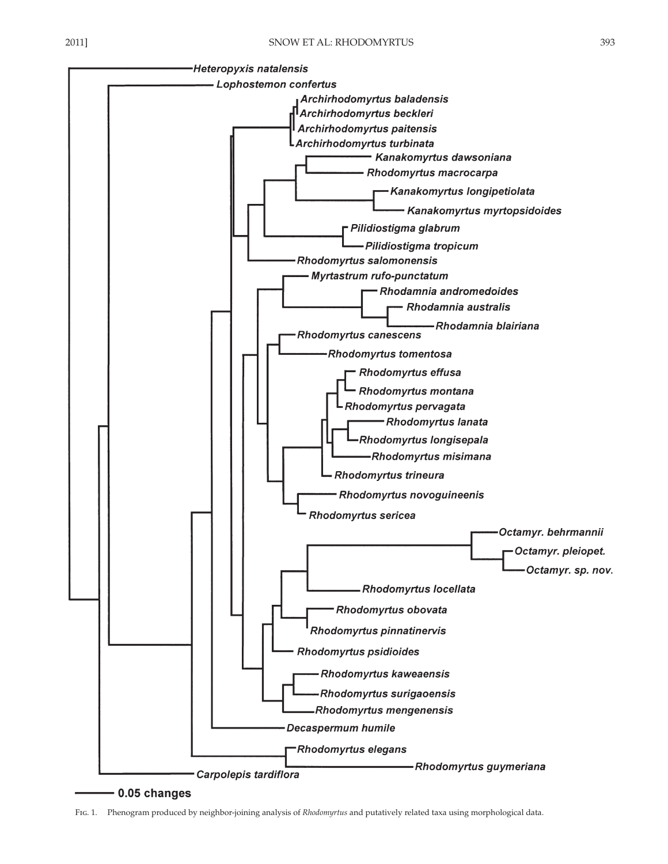

0.05 changes

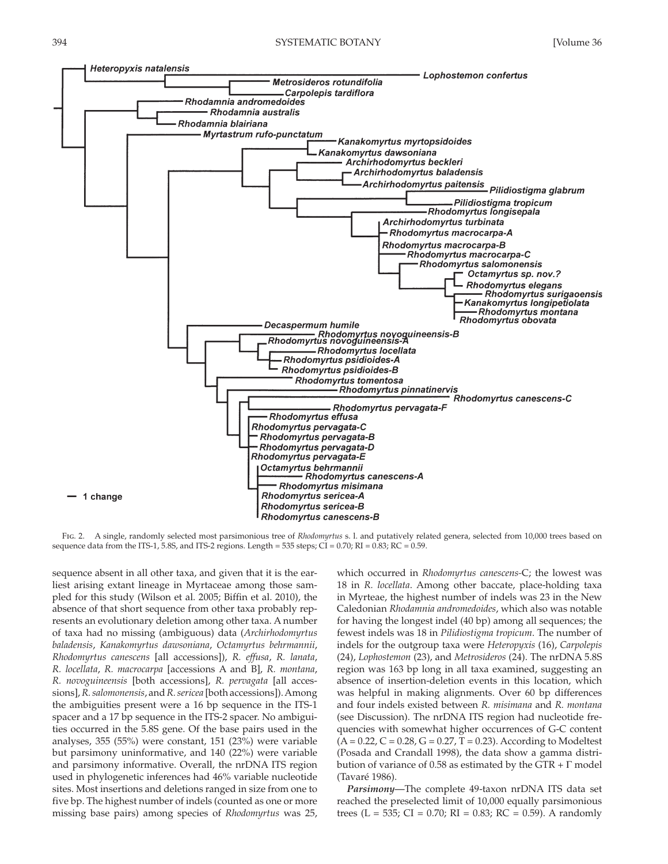

 Fig. 2 . A single, randomly selected most parsimonious tree of *Rhodomyrtus* s. l. and putatively related genera, selected from 10,000 trees based on sequence data from the ITS-1, 5.8S, and ITS-2 regions. Length = 535 steps; CI =  $0.70$ ; RI =  $0.83$ ; RC =  $0.59$ .

sequence absent in all other taxa, and given that it is the earliest arising extant lineage in Myrtaceae among those sampled for this study (Wilson et al. 2005; Biffin et al. 2010), the absence of that short sequence from other taxa probably represents an evolutionary deletion among other taxa. A number of taxa had no missing (ambiguous) data ( *Archirhodomyrtus baladensis* , *Kanakomyrtus dawsoniana* , *Octamyrtus behrmannii* , *Rhodomyrtus canescens* [all accessions]), *R. effusa* , *R. lanata* , *R. locellata* , *R. macrocarpa* [accessions A and B], *R. montana* , *R. novoguineensis* [both accessions], *R. pervagata* [all accessions], *R. salomonensis* , and *R. sericea* [both accessions]). Among the ambiguities present were a 16 bp sequence in the ITS-1 spacer and a 17 bp sequence in the ITS-2 spacer. No ambiguities occurred in the 5.8S gene. Of the base pairs used in the analyses, 355 (55%) were constant, 151 (23%) were variable but parsimony uninformative, and 140 (22%) were variable and parsimony informative. Overall, the nrDNA ITS region used in phylogenetic inferences had 46% variable nucleotide sites. Most insertions and deletions ranged in size from one to five bp. The highest number of indels (counted as one or more missing base pairs) among species of *Rhodomyrtus* was 25, which occurred in *Rhodomyrtus canescens-*C; the lowest was 18 in *R. locellata* . Among other baccate, place-holding taxa in Myrteae, the highest number of indels was 23 in the New Caledonian *Rhodamnia andromedoides* , which also was notable for having the longest indel (40 bp) among all sequences; the fewest indels was 18 in *Pilidiostigma tropicum* . The number of indels for the outgroup taxa were *Heteropyxis* (16), *Carpolepis* (24), *Lophostemon* (23), and *Metrosideros* (24). The nrDNA 5.8S region was 163 bp long in all taxa examined, suggesting an absence of insertion-deletion events in this location, which was helpful in making alignments. Over 60 bp differences and four indels existed between *R. misimana* and *R. montana* (see Discussion). The nrDNA ITS region had nucleotide frequencies with somewhat higher occurrences of G-C content  $(A = 0.22, C = 0.28, G = 0.27, T = 0.23)$ . According to Modeltest (Posada and Crandall 1998), the data show a gamma distribution of variance of 0.58 as estimated by the  $GTR + \Gamma$  model ( Tavaré 1986 ).

*Parsimony*—The complete 49-taxon nrDNA ITS data set reached the preselected limit of 10,000 equally parsimonious trees (L = 535; CI = 0.70; RI = 0.83; RC = 0.59). A randomly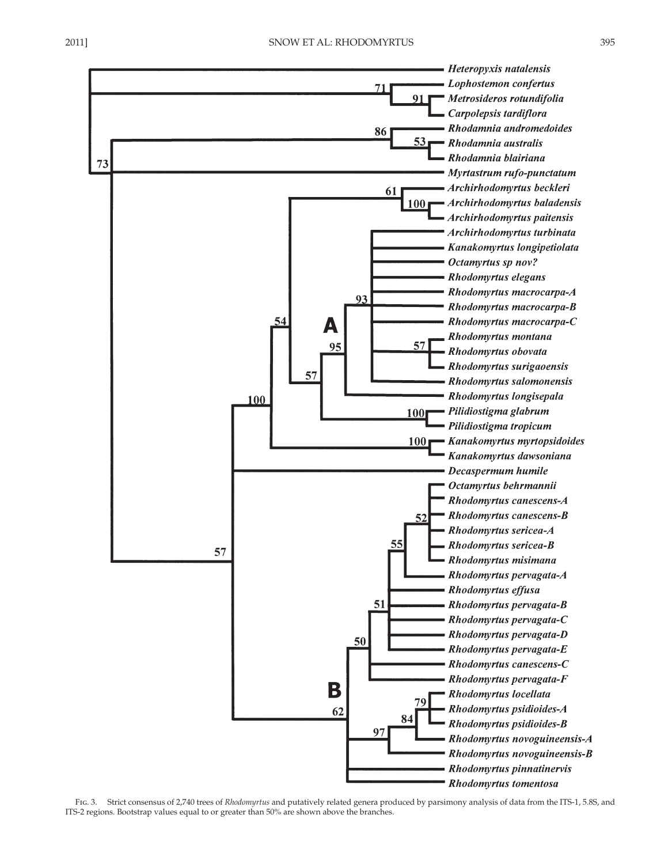

FIG. 3. Strict consensus of 2,740 trees of *Rhodomyrtus* and putatively related genera produced by parsimony analysis of data from the ITS-1, 5.8S, and ITS-2 regions. Bootstrap values equal to or greater than 50% are shown above the branches.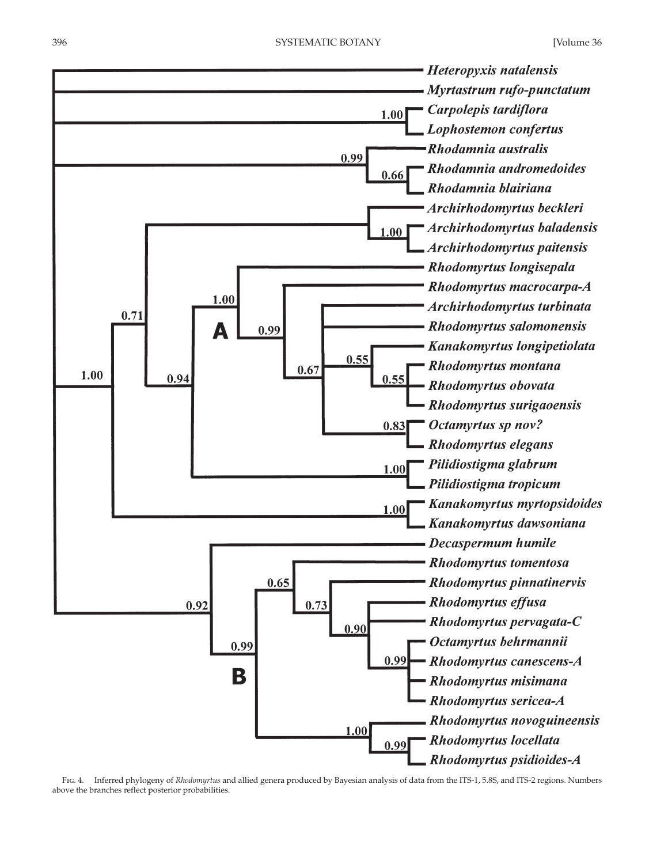

 Fig . 4. Inferred phylogeny of *Rhodomyrtus* and allied genera produced by Bayesian analysis of data from the ITS-1, 5.8S, and ITS-2 regions. Numbers above the branches reflect posterior probabilities.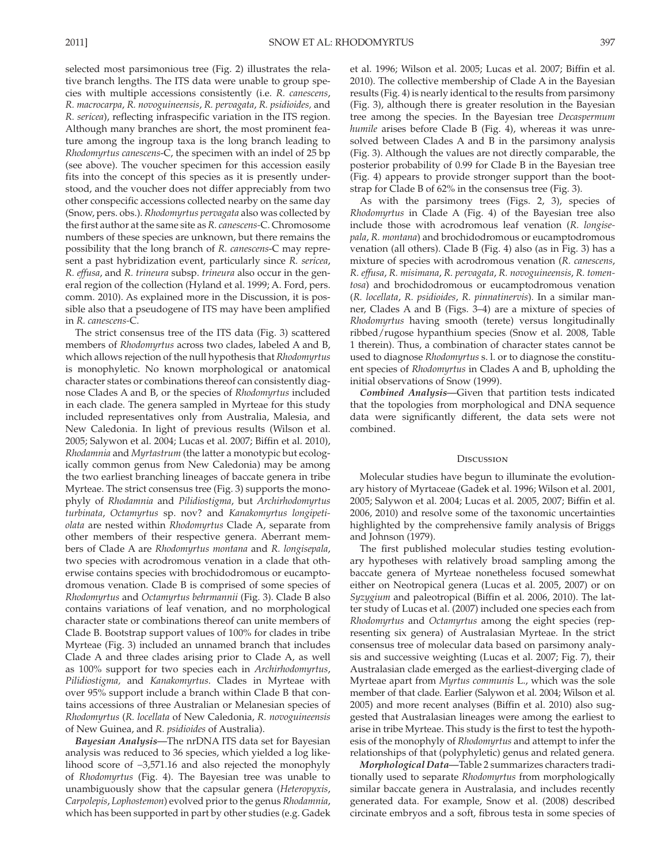selected most parsimonious tree (Fig. 2) illustrates the relative branch lengths. The ITS data were unable to group species with multiple accessions consistently (i.e. *R. canescens* , *R. macrocarpa* , *R. novoguineensis* , *R. pervagata* , *R. psidioides,* and *R. sericea* ), reflecting infraspecific variation in the ITS region. Although many branches are short, the most prominent feature among the ingroup taxa is the long branch leading to *Rhodomyrtus canescens* -C, the specimen with an indel of 25 bp (see above). The voucher specimen for this accession easily fits into the concept of this species as it is presently understood, and the voucher does not differ appreciably from two other conspecific accessions collected nearby on the same day (Snow, pers. obs.). *Rhodomyrtus pervagata* also was collected by the first author at the same site as *R. canescens*-C. Chromosome numbers of these species are unknown, but there remains the possibility that the long branch of *R. canescens* -C may represent a past hybridization event, particularly since *R. sericea* , *R. effusa* , and *R. trineura* subsp. *trineura* also occur in the general region of the collection (Hyland et al. 1999; A. Ford, pers. comm. 2010). As explained more in the Discussion, it is possible also that a pseudogene of ITS may have been amplified in *R. canescens-C.* 

The strict consensus tree of the ITS data (Fig. 3) scattered members of *Rhodomyrtus* across two clades, labeled A and B, which allows rejection of the null hypothesis that *Rhodomyrtus* is monophyletic. No known morphological or anatomical character states or combinations thereof can consistently diagnose Clades A and B, or the species of *Rhodomyrtus* included in each clade. The genera sampled in Myrteae for this study included representatives only from Australia, Malesia, and New Caledonia. In light of previous results (Wilson et al. 2005; Salywon et al. 2004; Lucas et al. 2007; Biffin et al. 2010), *Rhodamnia* and *Myrtastrum* (the latter a monotypic but ecologically common genus from New Caledonia) may be among the two earliest branching lineages of baccate genera in tribe Myrteae. The strict consensus tree (Fig. 3) supports the monophyly of *Rhodamnia* and *Pilidiostigma* , but *Archirhodomyrtus turbinata* , *Octamyrtus* sp. nov? and *Kanakomyrtus longipetiolata* are nested within *Rhodomyrtus* Clade A, separate from other members of their respective genera. Aberrant members of Clade A are *Rhodomyrtus montana* and *R. longisepala* , two species with acrodromous venation in a clade that otherwise contains species with brochidodromous or eucamptodromous venation. Clade B is comprised of some species of *Rhodomyrtus* and *Octamyrtus behrmannii* ( Fig. 3 ). Clade B also contains variations of leaf venation, and no morphological character state or combinations thereof can unite members of Clade B. Bootstrap support values of 100% for clades in tribe Myrteae (Fig. 3) included an unnamed branch that includes Clade A and three clades arising prior to Clade A, as well as 100% support for two species each in *Archirhodomyrtus* , *Pilidiostigma,* and *Kanakomyrtus* . Clades in Myrteae with over 95% support include a branch within Clade B that contains accessions of three Australian or Melanesian species of *Rhodomyrtus* ( *R. locellata* of New Caledonia, *R. novoguineensis* of New Guinea, and *R. psidioides* of Australia).

 *Bayesian Analysis—* The nrDNA ITS data set for Bayesian analysis was reduced to 36 species, which yielded a log likelihood score of -3,571.16 and also rejected the monophyly of *Rhodomyrtus* (Fig. 4). The Bayesian tree was unable to unambiguously show that the capsular genera (*Heteropyxis*, *Carpolepis* , *Lophostemon* ) evolved prior to the genus *Rhodamnia* , which has been supported in part by other studies (e.g. Gadek et al. 1996; Wilson et al. 2005; Lucas et al. 2007; Biffin et al. 2010). The collective membership of Clade A in the Bayesian results (Fig. 4) is nearly identical to the results from parsimony (Fig. 3), although there is greater resolution in the Bayesian tree among the species. In the Bayesian tree *Decaspermum humile* arises before Clade B (Fig. 4), whereas it was unresolved between Clades A and B in the parsimony analysis (Fig. 3). Although the values are not directly comparable, the posterior probability of 0.99 for Clade B in the Bayesian tree (Fig. 4) appears to provide stronger support than the bootstrap for Clade B of  $62\%$  in the consensus tree (Fig. 3).

As with the parsimony trees (Figs. 2, 3), species of *Rhodomyrtus* in Clade A (Fig. 4) of the Bayesian tree also include those with acrodromous leaf venation (R. longise*pala* , *R. montana* ) and brochidodromous or eucamptodromous venation (all others). Clade B (Fig. 4) also (as in Fig. 3) has a mixture of species with acrodromous venation (*R. canescens*, *R. effusa* , *R. misimana* , *R. pervagata* , *R. novoguineensis* , *R. tomentosa* ) and brochidodromous or eucamptodromous venation ( *R. locellata* , *R. psidioides* , *R. pinnatinervis* ). In a similar manner, Clades A and B (Figs. 3-4) are a mixture of species of *Rhodomyrtus* having smooth (terete) versus longitudinally ribbed/rugose hypanthium species (Snow et al. 2008, Table 1 therein). Thus, a combination of character states cannot be used to diagnose *Rhodomyrtus* s. l. or to diagnose the constituent species of *Rhodomyrtus* in Clades A and B, upholding the initial observations of Snow (1999).

 *Combined Analysis—* Given that partition tests indicated that the topologies from morphological and DNA sequence data were significantly different, the data sets were not combined.

### **DISCUSSION**

 Molecular studies have begun to illuminate the evolutionary history of Myrtaceae (Gadek et al. 1996; Wilson et al. 2001, 2005; Salywon et al. 2004; Lucas et al. 2005, 2007; Biffin et al. 2006, 2010) and resolve some of the taxonomic uncertainties highlighted by the comprehensive family analysis of Briggs and Johnson (1979) .

 The first published molecular studies testing evolutionary hypotheses with relatively broad sampling among the baccate genera of Myrteae nonetheless focused somewhat either on Neotropical genera (Lucas et al. 2005, 2007) or on *Syzygium* and paleotropical (Biffin et al. 2006, 2010). The latter study of Lucas et al. (2007) included one species each from *Rhodomyrtus* and *Octamyrtus* among the eight species (representing six genera) of Australasian Myrteae. In the strict consensus tree of molecular data based on parsimony analysis and successive weighting (Lucas et al. 2007; Fig. 7), their Australasian clade emerged as the earliest-diverging clade of Myrteae apart from *Myrtus communis* L., which was the sole member of that clade. Earlier (Salywon et al. 2004; Wilson et al. 2005) and more recent analyses (Biffin et al. 2010) also suggested that Australasian lineages were among the earliest to arise in tribe Myrteae. This study is the first to test the hypothesis of the monophyly of *Rhodomyrtus* and attempt to infer the relationships of that (polyphyletic) genus and related genera.

 *Morphological Data—* Table 2 summarizes characters traditionally used to separate *Rhodomyrtus* from morphologically similar baccate genera in Australasia, and includes recently generated data. For example, Snow et al. (2008) described circinate embryos and a soft, fibrous testa in some species of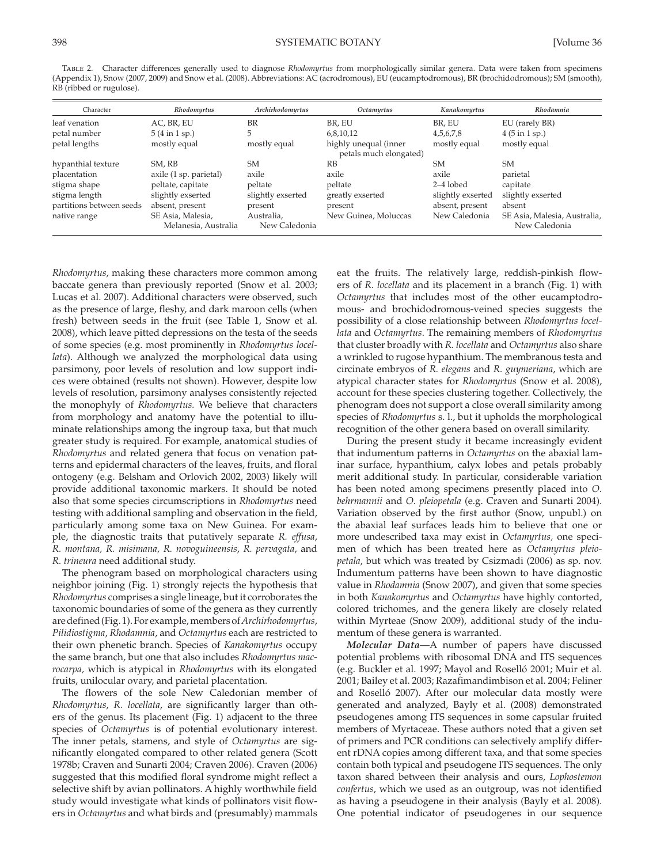Table 2. Character differences generally used to diagnose *Rhodomyrtus* from morphologically similar genera. Data were taken from specimens (Appendix 1), Snow (2007 , 2009 ) and Snow et al. (2008) . Abbreviations: AC (acrodromous), EU (eucamptodromous), BR (brochidodromous); SM (smooth), RB (ribbed or rugulose).

| Character                | Rhodomyrtus                               | Archirhodomyrtus            | Octamyrtus                                                                      | Kanakomyrtus      | Rhodamnia                                     |  |  |
|--------------------------|-------------------------------------------|-----------------------------|---------------------------------------------------------------------------------|-------------------|-----------------------------------------------|--|--|
| leaf venation            | AC, BR, EU                                | <b>BR</b>                   | BR, EU                                                                          | BR, EU            | EU (rarely BR)                                |  |  |
| petal number             | $5(4 \text{ in } 1 \text{ sp.})$          | 5                           | 6,8,10,12                                                                       | 4, 5, 6, 7, 8     | $4(5 \text{ in } 1 \text{ sp.})$              |  |  |
| petal lengths            | mostly equal                              | mostly equal                | mostly equal<br>highly unequal (inner<br>mostly equal<br>petals much elongated) |                   |                                               |  |  |
| hypanthial texture       | SM. RB                                    | SM.                         | RB                                                                              | <b>SM</b>         | SM.                                           |  |  |
| placentation             | axile (1 sp. parietal)                    | axile                       | axile                                                                           | axile             | parietal                                      |  |  |
| stigma shape             | peltate, capitate                         | peltate                     | peltate                                                                         | $2-4$ lobed       | capitate                                      |  |  |
| stigma length            | slightly exserted                         | slightly exserted           | greatly exserted                                                                | slightly exserted | slightly exserted                             |  |  |
| partitions between seeds | absent, present                           | present                     | present                                                                         | absent, present   | absent                                        |  |  |
| native range             | SE Asia, Malesia,<br>Melanesia, Australia | Australia,<br>New Caledonia | New Guinea, Moluccas                                                            | New Caledonia     | SE Asia, Malesia, Australia,<br>New Caledonia |  |  |

*Rhodomyrtus* , making these characters more common among baccate genera than previously reported (Snow et al. 2003; Lucas et al. 2007). Additional characters were observed, such as the presence of large, fleshy, and dark maroon cells (when fresh) between seeds in the fruit (see Table 1, Snow et al. 2008 ), which leave pitted depressions on the testa of the seeds of some species (e.g. most prominently in *Rhodomyrtus locel*lata). Although we analyzed the morphological data using parsimony, poor levels of resolution and low support indices were obtained (results not shown). However, despite low levels of resolution, parsimony analyses consistently rejected the monophyly of *Rhodomyrtus.* We believe that characters from morphology and anatomy have the potential to illuminate relationships among the ingroup taxa, but that much greater study is required. For example, anatomical studies of *Rhodomyrtus* and related genera that focus on venation patterns and epidermal characters of the leaves, fruits, and floral ontogeny (e.g. Belsham and Orlovich 2002, 2003) likely will provide additional taxonomic markers. It should be noted also that some species circumscriptions in *Rhodomyrtus* need testing with additional sampling and observation in the field, particularly among some taxa on New Guinea. For example, the diagnostic traits that putatively separate *R. effusa* , *R. montana, R. misimana, R. novoguineensis* , *R. pervagata* , and *R. trineura* need additional study.

 The phenogram based on morphological characters using neighbor joining (Fig. 1) strongly rejects the hypothesis that *Rhodomyrtus* comprises a single lineage, but it corroborates the taxonomic boundaries of some of the genera as they currently are defined ( Fig. 1 ). For example, members of *Archirhodomyrtus* , *Pilidiostigma* , *Rhodamnia* , and *Octamyrtus* each are restricted to their own phenetic branch. Species of *Kanakomyrtus* occupy the same branch, but one that also includes *Rhodomyrtus macrocarpa,* which is atypical in *Rhodomyrtus* with its elongated fruits, unilocular ovary, and parietal placentation.

 The flowers of the sole New Caledonian member of *Rhodomyrtus* , *R. locellata* , are significantly larger than others of the genus. Its placement (Fig. 1) adjacent to the three species of *Octamyrtus* is of potential evolutionary interest. The inner petals, stamens, and style of *Octamyrtus* are significantly elongated compared to other related genera (Scott 1978b; Craven and Sunarti 2004; Craven 2006). Craven (2006) suggested that this modified floral syndrome might reflect a selective shift by avian pollinators. A highly worthwhile field study would investigate what kinds of pollinators visit flowers in *Octamyrtus* and what birds and (presumably) mammals

eat the fruits. The relatively large, reddish-pinkish flowers of *R. locellata* and its placement in a branch (Fig. 1) with *Octamyrtus* that includes most of the other eucamptodromous- and brochidodromous-veined species suggests the possibility of a close relationship between *Rhodomyrtus locellata* and *Octamyrtus* . The remaining members of *Rhodomyrtus* that cluster broadly with *R. locellata* and *Octamyrtus* also share a wrinkled to rugose hypanthium. The membranous testa and circinate embryos of *R. elegans* and *R. guymeriana* , which are atypical character states for *Rhodomyrtus* (Snow et al. 2008), account for these species clustering together. Collectively, the phenogram does not support a close overall similarity among species of *Rhodomyrtus* s. l., but it upholds the morphological recognition of the other genera based on overall similarity.

 During the present study it became increasingly evident that indumentum patterns in *Octamyrtus* on the abaxial laminar surface, hypanthium, calyx lobes and petals probably merit additional study. In particular, considerable variation has been noted among specimens presently placed into *O. behrmannii* and *O. pleiopetala* (e.g. Craven and Sunarti 2004). Variation observed by the first author (Snow, unpubl.) on the abaxial leaf surfaces leads him to believe that one or more undescribed taxa may exist in *Octamyrtus,* one specimen of which has been treated here as *Octamyrtus pleiopetala* , but which was treated by Csizmadi (2006) as sp. nov. Indumentum patterns have been shown to have diagnostic value in *Rhodamnia* (Snow 2007), and given that some species in both *Kanakomyrtus* and *Octamyrtus* have highly contorted, colored trichomes, and the genera likely are closely related within Myrteae (Snow 2009), additional study of the indumentum of these genera is warranted.

*Molecular Data*—A number of papers have discussed potential problems with ribosomal DNA and ITS sequences (e.g. Buckler et al. 1997; Mayol and Roselló 2001; Muir et al. 2001; Bailey et al. 2003; Razafimandimbison et al. 2004; Feliner and Roselló 2007). After our molecular data mostly were generated and analyzed, Bayly et al. (2008) demonstrated pseudogenes among ITS sequences in some capsular fruited members of Myrtaceae. These authors noted that a given set of primers and PCR conditions can selectively amplify different rDNA copies among different taxa, and that some species contain both typical and pseudogene ITS sequences. The only taxon shared between their analysis and ours, *Lophostemon confertus* , which we used as an outgroup, was not identified as having a pseudogene in their analysis (Bayly et al. 2008). One potential indicator of pseudogenes in our sequence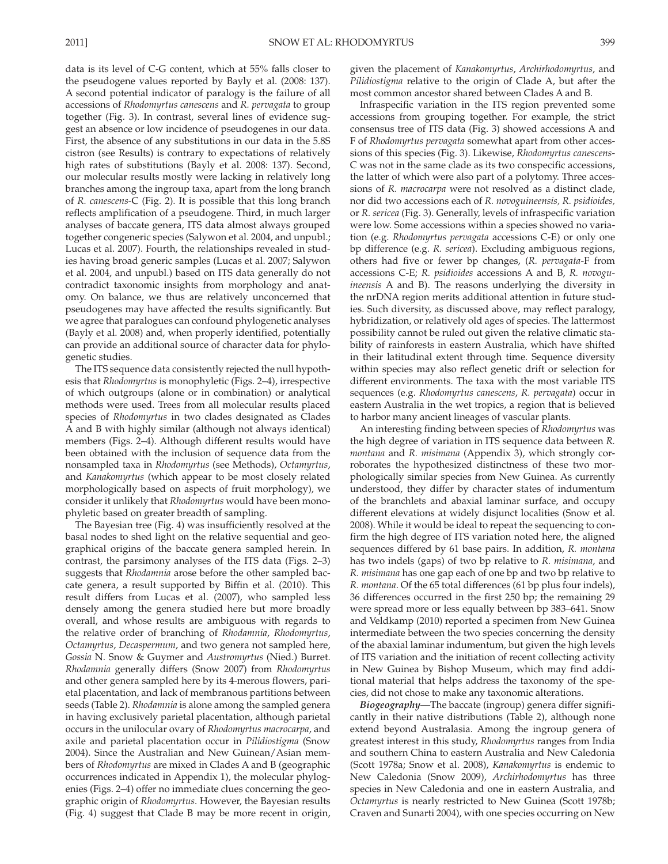data is its level of C-G content, which at 55% falls closer to the pseudogene values reported by Bayly et al. (2008: 137). A second potential indicator of paralogy is the failure of all accessions of *Rhodomyrtus canescens* and *R. pervagata* to group together (Fig. 3). In contrast, several lines of evidence suggest an absence or low incidence of pseudogenes in our data. First, the absence of any substitutions in our data in the 5.8S cistron (see Results) is contrary to expectations of relatively high rates of substitutions (Bayly et al. 2008: 137). Second, our molecular results mostly were lacking in relatively long branches among the ingroup taxa, apart from the long branch of *R. canescens-C* (Fig. 2). It is possible that this long branch reflects amplification of a pseudogene. Third, in much larger analyses of baccate genera, ITS data almost always grouped together congeneric species (Salywon et al. 2004, and unpubl.; Lucas et al. 2007). Fourth, the relationships revealed in studies having broad generic samples (Lucas et al. 2007; Salywon et al. 2004, and unpubl.) based on ITS data generally do not contradict taxonomic insights from morphology and anatomy. On balance, we thus are relatively unconcerned that pseudogenes may have affected the results significantly. But we agree that paralogues can confound phylogenetic analyses (Bayly et al. 2008) and, when properly identified, potentially can provide an additional source of character data for phylogenetic studies.

 The ITS sequence data consistently rejected the null hypothesis that *Rhodomyrtus* is monophyletic (Figs. 2–4), irrespective of which outgroups (alone or in combination) or analytical methods were used. Trees from all molecular results placed species of *Rhodomyrtus* in two clades designated as Clades A and B with highly similar (although not always identical) members (Figs. 2-4). Although different results would have been obtained with the inclusion of sequence data from the nonsampled taxa in *Rhodomyrtus* (see Methods), *Octamyrtus* , and *Kanakomyrtus* (which appear to be most closely related morphologically based on aspects of fruit morphology), we consider it unlikely that *Rhodomyrtus* would have been monophyletic based on greater breadth of sampling.

The Bayesian tree (Fig. 4) was insufficiently resolved at the basal nodes to shed light on the relative sequential and geographical origins of the baccate genera sampled herein. In contrast, the parsimony analyses of the ITS data ( $Figs. 2-3$ ) suggests that *Rhodamnia* arose before the other sampled baccate genera, a result supported by Biffin et al. (2010). This result differs from Lucas et al. (2007), who sampled less densely among the genera studied here but more broadly overall, and whose results are ambiguous with regards to the relative order of branching of *Rhodamnia* , *Rhodomyrtus* , *Octamyrtus* , *Decaspermum* , and two genera not sampled here, *Gossia* N. Snow & Guymer and *Austromyrtus* (Nied.) Burret. *Rhodamnia* generally differs ( Snow 2007 ) from *Rhodomyrtus* and other genera sampled here by its 4-merous flowers, parietal placentation, and lack of membranous partitions between seeds (Table 2). *Rhodamnia* is alone among the sampled genera in having exclusively parietal placentation, although parietal occurs in the unilocular ovary of *Rhodomyrtus macrocarpa* , and axile and parietal placentation occur in *Pilidiostigma* ( Snow 2004). Since the Australian and New Guinean/Asian members of *Rhodomyrtus* are mixed in Clades A and B (geographic occurrences indicated in Appendix 1), the molecular phylogenies (Figs. 2–4) offer no immediate clues concerning the geographic origin of *Rhodomyrtus* . However, the Bayesian results (Fig. 4) suggest that Clade B may be more recent in origin, given the placement of *Kanakomyrtus* , *Archirhodomyrtus* , and *Pilidiostigma* relative to the origin of Clade A, but after the most common ancestor shared between Clades A and B.

 Infraspecific variation in the ITS region prevented some accessions from grouping together. For example, the strict consensus tree of ITS data (Fig. 3) showed accessions A and F of *Rhodomyrtus pervagata* somewhat apart from other accessions of this species (Fig. 3). Likewise, *Rhodomyrtus canescens-* C was not in the same clade as its two conspecific accessions, the latter of which were also part of a polytomy. Three accessions of *R. macrocarpa* were not resolved as a distinct clade, nor did two accessions each of *R. novoguineensis, R. psidioides,* or *R. sericea* (Fig. 3). Generally, levels of infraspecific variation were low. Some accessions within a species showed no variation (e.g. *Rhodomyrtus pervagata* accessions C-E) or only one bp difference (e.g. *R. sericea* ). Excluding ambiguous regions, others had five or fewer bp changes, ( *R. pervagata* -F from accessions C-E; *R. psidioides* accessions A and B, *R. novoguineensis* A and B). The reasons underlying the diversity in the nrDNA region merits additional attention in future studies. Such diversity, as discussed above, may reflect paralogy, hybridization, or relatively old ages of species. The lattermost possibility cannot be ruled out given the relative climatic stability of rainforests in eastern Australia, which have shifted in their latitudinal extent through time. Sequence diversity within species may also reflect genetic drift or selection for different environments. The taxa with the most variable ITS sequences (e.g. *Rhodomyrtus canescens* , *R. pervagata* ) occur in eastern Australia in the wet tropics, a region that is believed to harbor many ancient lineages of vascular plants.

 An interesting finding between species of *Rhodomyrtus* was the high degree of variation in ITS sequence data between *R. montana* and *R. misimana* (Appendix 3), which strongly corroborates the hypothesized distinctness of these two morphologically similar species from New Guinea. As currently understood, they differ by character states of indumentum of the branchlets and abaxial laminar surface, and occupy different elevations at widely disjunct localities (Snow et al. 2008). While it would be ideal to repeat the sequencing to confirm the high degree of ITS variation noted here, the aligned sequences differed by 61 base pairs. In addition, *R. montana* has two indels (gaps) of two bp relative to *R. misimana* , and *R. misimana* has one gap each of one bp and two bp relative to *R. montana* . Of the 65 total differences (61 bp plus four indels), 36 differences occurred in the first 250 bp; the remaining 29 were spread more or less equally between bp 383–641. Snow and Veldkamp (2010) reported a specimen from New Guinea intermediate between the two species concerning the density of the abaxial laminar indumentum, but given the high levels of ITS variation and the initiation of recent collecting activity in New Guinea by Bishop Museum, which may find additional material that helps address the taxonomy of the species, did not chose to make any taxonomic alterations.

 *Biogeography—* The baccate (ingroup) genera differ significantly in their native distributions (Table 2), although none extend beyond Australasia. Among the ingroup genera of greatest interest in this study, *Rhodomyrtus* ranges from India and southern China to eastern Australia and New Caledonia ( Scott 1978a ; Snow et al. 2008 ), *Kanakomyrtus* is endemic to New Caledonia (Snow 2009), *Archirhodomyrtus* has three species in New Caledonia and one in eastern Australia, and *Octamyrtus* is nearly restricted to New Guinea (Scott 1978b; Craven and Sunarti 2004), with one species occurring on New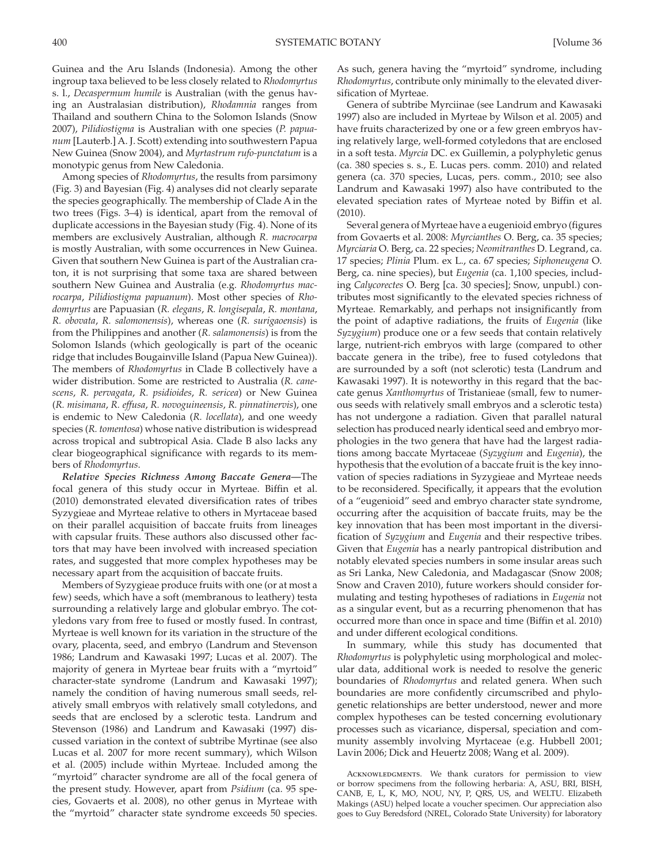Guinea and the Aru Islands (Indonesia). Among the other ingroup taxa believed to be less closely related to *Rhodomyrtus* s. l., *Decaspermum humile* is Australian (with the genus having an Australasian distribution), *Rhodamnia* ranges from Thailand and southern China to the Solomon Islands (Snow 2007), *Pilidiostigma* is Australian with one species (P. papua*num* [Lauterb.] A. J. Scott) extending into southwestern Papua New Guinea ( Snow 2004 ), and *Myrtastrum rufo-punctatum* is a monotypic genus from New Caledonia.

 Among species of *Rhodomyrtus* , the results from parsimony (Fig. 3) and Bayesian (Fig. 4) analyses did not clearly separate the species geographically. The membership of Clade A in the two trees (Figs. 3–4) is identical, apart from the removal of duplicate accessions in the Bayesian study (Fig. 4). None of its members are exclusively Australian, although *R. macrocarpa* is mostly Australian, with some occurrences in New Guinea. Given that southern New Guinea is part of the Australian craton, it is not surprising that some taxa are shared between southern New Guinea and Australia (e.g. *Rhodomyrtus macrocarpa* , *Pilidiostigma papuanum* ). Most other species of *Rhodomyrtus* are Papuasian ( *R. elegans* , *R. longisepala* , *R. montana* , *R. obovata* , *R. salomonensis* ), whereas one ( *R. surigaoensis* ) is from the Philippines and another ( *R. salamonensis* ) is from the Solomon Islands (which geologically is part of the oceanic ridge that includes Bougainville Island (Papua New Guinea)). The members of *Rhodomyrtus* in Clade B collectively have a wider distribution. Some are restricted to Australia (R. cane*scens* , *R. pervagata* , *R. psidioides* , *R. sericea* ) or New Guinea ( *R. misimana* , *R. effusa* , *R. novoguineensis* , *R. pinnatinervis* ), one is endemic to New Caledonia (*R. locellata*), and one weedy species (*R. tomentosa*) whose native distribution is widespread across tropical and subtropical Asia. Clade B also lacks any clear biogeographical significance with regards to its members of *Rhodomyrtus* .

 *Relative Species Richness Among Baccate Genera—* The focal genera of this study occur in Myrteae. Biffin et al. (2010) demonstrated elevated diversification rates of tribes Syzygieae and Myrteae relative to others in Myrtaceae based on their parallel acquisition of baccate fruits from lineages with capsular fruits. These authors also discussed other factors that may have been involved with increased speciation rates, and suggested that more complex hypotheses may be necessary apart from the acquisition of baccate fruits.

 Members of Syzygieae produce fruits with one (or at most a few) seeds, which have a soft (membranous to leathery) testa surrounding a relatively large and globular embryo. The cotyledons vary from free to fused or mostly fused. In contrast, Myrteae is well known for its variation in the structure of the ovary, placenta, seed, and embryo (Landrum and Stevenson 1986; Landrum and Kawasaki 1997; Lucas et al. 2007). The majority of genera in Myrteae bear fruits with a "myrtoid" character-state syndrome (Landrum and Kawasaki 1997); namely the condition of having numerous small seeds, relatively small embryos with relatively small cotyledons, and seeds that are enclosed by a sclerotic testa. Landrum and Stevenson (1986) and Landrum and Kawasaki (1997) discussed variation in the context of subtribe Myrtinae (see also Lucas et al. 2007 for more recent summary), which Wilson et al. (2005) include within Myrteae. Included among the "myrtoid" character syndrome are all of the focal genera of the present study. However, apart from *Psidium* (ca. 95 species, Govaerts et al. 2008), no other genus in Myrteae with the "myrtoid" character state syndrome exceeds 50 species.

As such, genera having the "myrtoid" syndrome, including *Rhodomyrtus* , contribute only minimally to the elevated diversification of Myrteae.

 Genera of subtribe Myrciinae (see Landrum and Kawasaki 1997) also are included in Myrteae by Wilson et al. 2005) and have fruits characterized by one or a few green embryos having relatively large, well-formed cotyledons that are enclosed in a soft testa. *Myrcia* DC. ex Guillemin, a polyphyletic genus (ca. 380 species s. s., E. Lucas pers. comm. 2010) and related genera (ca. 370 species, Lucas, pers. comm., 2010; see also Landrum and Kawasaki 1997) also have contributed to the elevated speciation rates of Myrteae noted by Biffin et al.  $(2010)$ .

 Several genera of Myrteae have a eugenioid embryo (figures from Govaerts et al. 2008: *Myrcianthes* O. Berg, ca. 35 species; *Myrciaria* O. Berg, ca. 22 species; *Neomitranthes* D. Legrand, ca. 17 species; *Plinia* Plum. ex L., ca. 67 species; *Siphoneugena* O. Berg, ca. nine species), but *Eugenia* (ca. 1,100 species, including *Calycorectes* O. Berg [ca. 30 species]; Snow, unpubl.) contributes most significantly to the elevated species richness of Myrteae. Remarkably, and perhaps not insignificantly from the point of adaptive radiations, the fruits of *Eugenia* (like *Syzygium*) produce one or a few seeds that contain relatively large, nutrient-rich embryos with large (compared to other baccate genera in the tribe), free to fused cotyledons that are surrounded by a soft (not sclerotic) testa (Landrum and Kawasaki 1997). It is noteworthy in this regard that the baccate genus *Xanthomyrtus* of Tristanieae (small, few to numerous seeds with relatively small embryos and a sclerotic testa) has not undergone a radiation. Given that parallel natural selection has produced nearly identical seed and embryo morphologies in the two genera that have had the largest radiations among baccate Myrtaceae ( *Syzygium* and *Eugenia* ), the hypothesis that the evolution of a baccate fruit is the key innovation of species radiations in Syzygieae and Myrteae needs to be reconsidered. Specifically, it appears that the evolution of a "eugenioid" seed and embryo character state syndrome, occurring after the acquisition of baccate fruits, may be the key innovation that has been most important in the diversification of *Syzygium* and *Eugenia* and their respective tribes. Given that *Eugenia* has a nearly pantropical distribution and notably elevated species numbers in some insular areas such as Sri Lanka, New Caledonia, and Madagascar (Snow 2008; Snow and Craven 2010), future workers should consider formulating and testing hypotheses of radiations in *Eugenia* not as a singular event, but as a recurring phenomenon that has occurred more than once in space and time (Biffin et al. 2010) and under different ecological conditions.

 In summary, while this study has documented that *Rhodomyrtus* is polyphyletic using morphological and molecular data, additional work is needed to resolve the generic boundaries of *Rhodomyrtus* and related genera. When such boundaries are more confidently circumscribed and phylogenetic relationships are better understood, newer and more complex hypotheses can be tested concerning evolutionary processes such as vicariance, dispersal, speciation and community assembly involving Myrtaceae (e.g. Hubbell 2001; Lavin 2006; Dick and Heuertz 2008; Wang et al. 2009).

ACKNOWLEDGMENTS. We thank curators for permission to view or borrow specimens from the following herbaria: A, ASU, BRI, BISH, CANB, E, L, K, MO, NOU, NY, P, QRS, US, and WELTU. Elizabeth Makings (ASU) helped locate a voucher specimen. Our appreciation also goes to Guy Beredsford (NREL, Colorado State University) for laboratory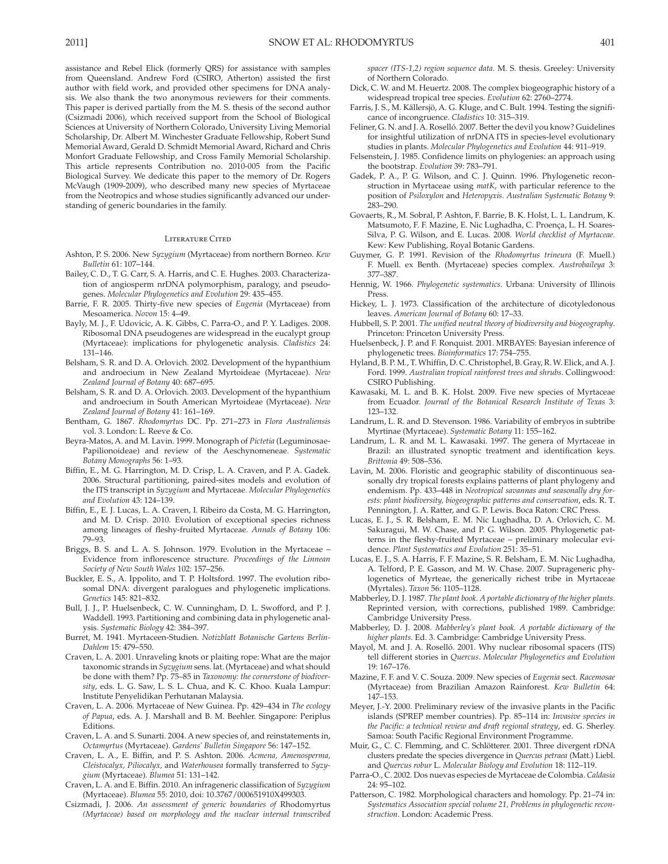assistance and Rebel Elick (formerly QRS) for assistance with samples from Queensland. Andrew Ford (CSIRO, Atherton) assisted the first author with field work, and provided other specimens for DNA analysis. We also thank the two anonymous reviewers for their comments. This paper is derived partially from the M. S. thesis of the second author (Csizmadi 2006), which received support from the School of Biological Sciences at University of Northern Colorado, University Living Memorial Scholarship, Dr. Albert M. Winchester Graduate Fellowship, Robert Sund Memorial Award, Gerald D. Schmidt Memorial Award, Richard and Chris Monfort Graduate Fellowship, and Cross Family Memorial Scholarship. This article represents Contribution no. 2010-005 from the Pacific Biological Survey. We dedicate this paper to the memory of Dr. Rogers McVaugh (1909-2009), who described many new species of Myrtaceae from the Neotropics and whose studies significantly advanced our understanding of generic boundaries in the family.

### Literature Cited

- Ashton, P. S. 2006. New *Syzygium* (Myrtaceae) from northern Borneo. *Kew Bulletin* 61: 107–144.
- Bailey, C. D., T. G. Carr, S. A. Harris, and C. E. Hughes. 2003. Characterization of angiosperm nrDNA polymorphism, paralogy, and pseudogenes. *Molecular Phylogenetics and Evolution* 29: 435–455.
- Barrie, F. R. 2005. Thirty-five new species of *Eugenia* (Myrtaceae) from Mesoamerica. *Novon* 15: 4–49.
- Bayly, M. J., F. Udovicic, A. K. Gibbs, C. Parra-O., and P. Y. Ladiges. 2008. Ribosomal DNA pseudogenes are widespread in the eucalypt group (Myrtaceae): implications for phylogenetic analysis. *Cladistics* 24: 131–146.
- Belsham, S. R. and D. A. Orlovich. 2002. Development of the hypanthium and androecium in New Zealand Myrtoideae (Myrtaceae). *New Zealand Journal of Botany* 40: 687–695.
- Belsham, S. R. and D. A. Orlovich. 2003. Development of the hypanthium and androecium in South American Myrtoideae (Myrtaceae). *New Zealand Journal of Botany* 41: 161–169.
- Bentham, G. 1867. *Rhodomyrtus* DC. Pp. 271–273 in *Flora Australiensis* vol. 3. London: L. Reeve & Co.
- Beyra-Matos, A. and M. Lavin. 1999. Monograph of *Pictetia* (Leguminosae-Papilionoideae) and review of the Aeschynomeneae. *Systematic Botany Monographs* 56: 1–93.
- Biffin, E., M. G. Harrington, M. D. Crisp, L. A. Craven, and P. A. Gadek. 2006. Structural partitioning, paired-sites models and evolution of the ITS transcript in *Syzygium* and Myrtaceae. *Molecular Phylogenetics and Evolution* 43: 124–139.
- Biffin, E., E. J. Lucas, L. A. Craven, I. Ribeiro da Costa, M. G. Harrington, and M. D. Crisp. 2010. Evolution of exceptional species richness among lineages of fleshy-fruited Myrtaceae. *Annals of Botany* 106: 79–93.
- Briggs, B. S. and L. A. S. Johnson. 1979. Evolution in the Myrtaceae Evidence from inflorescence structure. *Proceedings of the Linnean Society of New South Wales* 102: 157–256.
- Buckler, E. S., A. Ippolito, and T. P. Holtsford. 1997. The evolution ribosomal DNA: divergent paralogues and phylogenetic implications. *Genetics* 145: 821–832.
- Bull, J. J., P. Huelsenbeck, C. W. Cunningham, D. L. Swofford, and P. J. Waddell. 1993. Partitioning and combining data in phylogenetic analysis. *Systematic Biology* 42: 384–397.
- Burret, M. 1941. Myrtaceen-Studien. *Notizblatt Botanische Gartens Berlin-Dahlem* 15: 479–550.
- Craven, L. A. 2001. Unraveling knots or plaiting rope: What are the major taxonomic strands in *Syzygium* sens. lat. (Myrtaceae) and what should be done with them? Pp. 75–85 in *Taxonomy: the cornerstone of biodiversity*, eds. L. G. Saw, L. S. L. Chua, and K. C. Khoo. Kuala Lampur: Institute Penyelidikan Perhutanan Malaysia.
- Craven, L. A. 2006. Myrtaceae of New Guinea. Pp. 429–434 in *The ecology of Papua*, eds. A. J. Marshall and B. M. Beehler. Singapore: Periplus Editions.
- Craven, L. A. and S. Sunarti. 2004. Anew species of, and reinstatements in, *Octamyrtus* (Myrtaceae). *Gardens' Bulletin Singapore* 56: 147–152.
- Craven, L. A., E. Biffin, and P. S. Ashton. 2006. *Acmena, Amenosperma, Cleistocalyx, Piliocalyx,* and *Waterhousea* formally transferred to *Syzygium* (Myrtaceae)*. Blumea* 51: 131–142.
- Craven, L. A. and E. Biffin. 2010. An infrageneric classification of *Syzygium* (Myrtaceae). *Blumea* 55: 2010, doi: 10.3767/000651910X499303.
- Csizmadi, J. 2006. *An assessment of generic boundaries of* Rhodomyrtus *(Myrtaceae) based on morphology and the nuclear internal transcribed*

*spacer (ITS-1,2) region sequence data*. M. S. thesis. Greeley: University of Northern Colorado.

- Dick, C. W. and M. Heuertz. 2008. The complex biogeographic history of a widespread tropical tree species. *Evolution* 62: 2760–2774.
- Farris, J. S., M. Källersjö, A. G. Kluge, and C. Bult. 1994. Testing the significance of incongruence. *Cladistics* 10: 315–319.
- Feliner, G. N. and J. A. Roselló. 2007. Better the devil you know? Guidelines for insightful utilization of nrDNA ITS in species-level evolutionary studies in plants. *Molecular Phylogenetics and Evolution* 44: 911–919.
- Felsenstein, J. 1985. Confidence limits on phylogenies: an approach using the bootstrap. *Evolution* 39: 783–791.
- Gadek, P. A., P. G. Wilson, and C. J. Quinn. 1996. Phylogenetic reconstruction in Myrtaceae using *matK*, with particular reference to the position of *Psiloxylon* and *Heteropyxis*. *Australian Systematic Botany* 9: 283–290.
- Govaerts, R., M. Sobral, P. Ashton, F. Barrie, B. K. Holst, L. L. Landrum, K. Matsumoto, F. F. Mazine, E. Nic Lughadha, C. Proença, L. H. Soares-Silva, P. G. Wilson, and E. Lucas. 2008. *World checklist of Myrtaceae*. Kew: Kew Publishing, Royal Botanic Gardens.
- Guymer, G. P. 1991. Revision of the *Rhodomyrtus trineura* (F. Muell.) F. Muell. ex Benth. (Myrtaceae) species complex. *Austrobaileya* 3: 377–387.
- Hennig, W. 1966. *Phylogenetic systematics*. Urbana: University of Illinois Press.
- Hickey, L. J. 1973. Classification of the architecture of dicotyledonous leaves. *American Journal of Botany* 60: 17–33.
- Hubbell, S. P. 2001. *The unified neutral theory of biodiversity and biogeography*. Princeton: Princeton University Press.
- Huelsenbeck, J. P. and F. Ronquist. 2001. MRBAYES: Bayesian inference of phylogenetic trees. *Bioinformatics* 17: 754–755.
- Hyland, B. P. M., T. Whiffin, D. C. Christophel, B. Gray, R. W. Elick, and A. J. Ford. 1999. *Australian tropical rainforest trees and shrubs*. Collingwood: CSIRO Publishing.
- Kawasaki, M. L. and B. K. Holst. 2009. Five new species of Myrtaceae from Ecuador. *Journal of the Botanical Research Institute of Texas* 3: 123–132.
- Landrum, L. R. and D. Stevenson. 1986. Variability of embryos in subtribe Myrtinae (Myrtaceae). *Systematic Botany* 11: 155–162.
- Landrum, L. R. and M. L. Kawasaki. 1997. The genera of Myrtaceae in Brazil: an illustrated synoptic treatment and identification keys. *Brittonia* 49: 508–536.
- Lavin, M. 2006. Floristic and geographic stability of discontinuous seasonally dry tropical forests explains patterns of plant phylogeny and endemism. Pp. 433–448 in *Neotropical savannas and seasonally dry forests: plant biodiversity, biogeographic patterns and conservation*, eds. R. T. Pennington, J. A. Ratter, and G. P. Lewis. Boca Raton: CRC Press.
- Lucas, E. J., S. R. Belsham, E. M. Nic Lughadha, D. A. Orlovich, C. M. Sakuragui, M. W. Chase, and P. G. Wilson. 2005. Phylogenetic patterns in the fleshy-fruited Myrtaceae – preliminary molecular evidence. *Plant Systematics and Evolution* 251: 35–51.
- Lucas, E. J., S. A. Harris, F. F. Mazine, S. R. Belsham, E. M. Nic Lughadha, A. Telford, P. E. Gasson, and M. W. Chase. 2007. Suprageneric phylogenetics of Myrteae, the generically richest tribe in Myrtaceae (Myrtales). *Taxon* 56: 1105–1128.
- Mabberley, D. J. 1987. *The plant book. A portable dictionary of the higher plants*. Reprinted version, with corrections, published 1989. Cambridge: Cambridge University Press.
- Mabberley, D. J. 2008. *Mabberley's plant book. A portable dictionary of the higher plants*. Ed. 3. Cambridge: Cambridge University Press.
- Mayol, M. and J. A. Roselló. 2001. Why nuclear ribosomal spacers (ITS) tell different stories in *Quercus*. *Molecular Phylogenetics and Evolution* 19: 167–176.
- Mazine, F. F. and V. C. Souza. 2009. New species of *Eugenia* sect. *Racemosae* (Myrtaceae) from Brazilian Amazon Rainforest. *Kew Bulletin* 64: 147–153.
- Meyer, J.-Y. 2000. Preliminary review of the invasive plants in the Pacific islands (SPREP member countries). Pp. 85–114 in: *Invasive species in the Pacific: a technical review and draft regional strategy*, ed. G. Sherley. Samoa: South Pacific Regional Environment Programme.
- Muir, G., C. C. Flemming, and C. Schlötterer. 2001. Three divergent rDNA clusters predate the species divergence in *Quercus petraea* (Matt.) Liebl. and Quercus robur L. Molecular Biology and Evolution 18: 112-119.
- Parra-O., C . 2002 . Dos nuevas especies de Myrtaceae de Colombia . *Caldasia* 24: 95-102.
- Patterson, C. 1982. Morphological characters and homology. Pp. 21-74 in: *Systematics Association special volume 21, Problems in phylogenetic recon*struction. London: Academic Press.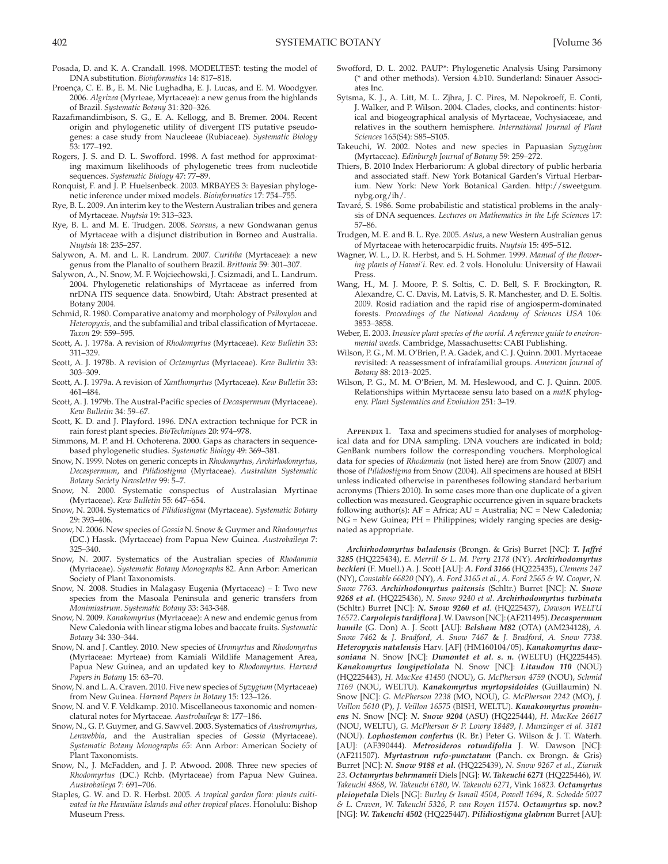- Proença, C. E. B., E. M. Nic Lughadha, E. J. Lucas, and E. M. Woodgyer. 2006. *Algrizea* (Myrteae, Myrtaceae): a new genus from the highlands of Brazil. *Systematic Botany* 31: 320–326.
- Razafimandimbison, S. G., E. A. Kellogg, and B. Bremer. 2004. Recent origin and phylogenetic utility of divergent ITS putative pseudogenes: a case study from Naucleeae (Rubiaceae). *Systematic Biology* 53: 177–192.
- Rogers, J. S. and D. L. Swofford. 1998. A fast method for approximating maximum likelihoods of phylogenetic trees from nucleotide sequences. *Systematic Biology* 47: 77–89.
- Ronquist, F. and J. P. Huelsenbeck. 2003. MRBAYES 3: Bayesian phylogenetic inference under mixed models. *Bioinformatics* 17: 754–755.
- Rye, B. L. 2009. An interim key to the Western Australian tribes and genera of Myrtaceae. *Nuytsia* 19: 313–323.
- Rye, B. L. and M. E. Trudgen. 2008. *Seorsus*, a new Gondwanan genus of Myrtaceae with a disjunct distribution in Borneo and Australia. *Nuytsia* 18: 235–257.
- Salywon, A. M. and L. R. Landrum. 2007. *Curitiba* (Myrtaceae): a new genus from the Planalto of southern Brazil. *Brittonia* 59: 301–307.
- Salywon, A., N. Snow, M. F. Wojciechowski, J. Csizmadi, and L. Landrum. 2004. Phylogenetic relationships of Myrtaceae as inferred from nrDNA ITS sequence data. Snowbird, Utah: Abstract presented at Botany 2004.
- Schmid, R. 1980. Comparative anatomy and morphology of *Psiloxylon* and *Heteropyxis,* and the subfamilial and tribal classification of Myrtaceae. *Taxon* 29: 559–595.
- Scott, A. J. 1978a. A revision of *Rhodomyrtus* (Myrtaceae). *Kew Bulletin* 33: 311–329.
- Scott, A. J. 1978b. A revision of *Octamyrtus* (Myrtaceae). *Kew Bulletin* 33: 303–309.
- Scott, A. J. 1979a. A revision of *Xanthomyrtus* (Myrtaceae). *Kew Bulletin* 33: 461–484.
- Scott, A. J. 1979b. The Austral-Pacific species of *Decaspermum* (Myrtaceae). *Kew Bulletin* 34: 59–67.
- Scott, K. D. and J. Playford. 1996. DNA extraction technique for PCR in rain forest plant species. *BioTechniques* 20: 974–978.
- Simmons, M. P. and H. Ochoterena. 2000. Gaps as characters in sequencebased phylogenetic studies. *Systematic Biology* 49: 369–381.
- Snow, N. 1999. Notes on generic concepts in *Rhodomyrtus, Archirhodomyrtus, Decaspermum*, and *Pilidiostigma* (Myrtaceae). *Australian Systematic Botany Society Newsletter* 99: 5–7.
- Snow, N. 2000. Systematic conspectus of Australasian Myrtinae (Myrtaceae). *Kew Bulletin* 55: 647–654.
- Snow, N. 2004. Systematics of *Pilidiostigma* (Myrtaceae). *Systematic Botany* 29: 393–406.
- Snow, N. 2006. New species of *Gossia* N. Snow & Guymer and *Rhodomyrtus* (DC.) Hassk. (Myrtaceae) from Papua New Guinea. *Austrobaileya* 7: 325–340.
- Snow, N. 2007. Systematics of the Australian species of *Rhodamnia* (Myrtaceae). *Systematic Botany Monographs* 82. Ann Arbor: American Society of Plant Taxonomists.
- Snow, N. 2008. Studies in Malagasy Eugenia (Myrtaceae) I: Two new species from the Masoala Peninsula and generic transfers from *Monimiastrum*. *Systematic Botany* 33: 343-348.
- Snow, N. 2009. *Kanakomyrtus* (Myrtaceae): A new and endemic genus from New Caledonia with linear stigma lobes and baccate fruits. *Systematic Botany* 34: 330–344.
- Snow, N. and J. Cantley. 2010. New species of *Uromyrtus* and *Rhodomyrtus* (Myrtaceae: Myrteae) from Kamiali Wildlife Management Area, Papua New Guinea, and an updated key to *Rhodomyrtus*. *Harvard Papers in Botany* 15: 63–70.
- Snow, N. and L.A. Craven. 2010. Five new species of *Syzygium* (Myrtaceae) from New Guinea. *Harvard Papers in Botany* 15: 123–126.
- Snow, N. and V. F. Veldkamp. 2010. Miscellaneous taxonomic and nomenclatural notes for Myrtaceae. *Austrobaileya* 8: 177–186.
- Snow, N., G. P. Guymer, and G. Sawvel. 2003. Systematics of *Austromyrtus, Lenwebbia*, and the Australian species of *Gossia* (Myrtaceae). *Systematic Botany Monographs 65*: Ann Arbor: American Society of Plant Taxonomists.
- Snow, N., J. McFadden, and J. P. Atwood. 2008. Three new species of *Rhodomyrtus* (DC.) Rchb. (Myrtaceae) from Papua New Guinea. *Austrobaileya* 7: 691–706.
- Staples, G. W. and D. R. Herbst. 2005. *A tropical garden flora: plants cultivated in the Hawaiian Islands and other tropical places*. Honolulu: Bishop Museum Press.
- Swofford, D. L. 2002. PAUP\*: Phylogenetic Analysis Using Parsimony (\* and other methods). Version 4.b10. Sunderland: Sinauer Associates Inc.
- Sytsma, K. J., A. Litt, M. L. Zjhra, J. C. Pires, M. Nepokroeff, E. Conti, J. Walker, and P. Wilson. 2004. Clades, clocks, and continents: historical and biogeographical analysis of Myrtaceae, Vochysiaceae, and relatives in the southern hemisphere. *International Journal of Plant Sciences* 165(S4): S85–S105.
- Takeuchi, W. 2002. Notes and new species in Papuasian *Syzygium* (Myrtaceae). *Edinburgh Journal of Botany* 59: 259–272.
- Thiers, B. 2010 Index Herbariorum: A global directory of public herbaria and associated staff. New York Botanical Garden's Virtual Herbarium. New York: New York Botanical Garden. http://sweetgum. nybg.org/ih/.
- Tavaré, S. 1986. Some probabilistic and statistical problems in the analysis of DNA sequences. *Lectures on Mathematics in the Life Sciences* 17: 57–86.
- Trudgen, M. E. and B. L. Rye. 2005. *Astus*, a new Western Australian genus of Myrtaceae with heterocarpidic fruits. *Nuytsia* 15: 495–512.
- Wagner, W. L., D. R. Herbst, and S. H. Sohmer. 1999. *Manual of the flowering plants of Hawai'i*. Rev. ed. 2 vols. Honolulu: University of Hawaii Press.
- Wang, H., M. J. Moore, P. S. Soltis, C. D. Bell, S. F. Brockington, R. Alexandre, C. C. Davis, M. Latvis, S. R. Manchester, and D. E. Soltis. 2009. Rosid radiation and the rapid rise of angiosperm-dominated forests. *Proceedings of the National Academy of Sciences USA* 106: 3853–3858.
- Weber, E. 2003. *Invasive plant species of the world. A reference guide to environmental weeds*. Cambridge, Massachusetts: CABI Publishing.
- Wilson, P. G., M. M. O'Brien, P. A. Gadek, and C. J. Quinn. 2001. Myrtaceae revisited: A reassessment of infrafamilial groups. *American Journal of Botany* 88: 2013–2025.
- Wilson, P. G., M. M. O'Brien, M. M. Heslewood, and C. J. Quinn. 2005. Relationships within Myrtaceae sensu lato based on a *matK* phylogeny. *Plant Systematics and Evolution* 251: 3–19.

APPENDIX 1. Taxa and specimens studied for analyses of morphological data and for DNA sampling. DNA vouchers are indicated in bold; GenBank numbers follow the corresponding vouchers. Morphological data for species of *Rhodamnia* (not listed here) are from Snow (2007) and those of *Pilidiostigma* from Snow (2004). All specimens are housed at BISH unless indicated otherwise in parentheses following standard herbarium acronyms (Thiers 2010). In some cases more than one duplicate of a given collection was measured. Geographic occurrence given in square brackets following author(s): AF = Africa; AU = Australia; NC = New Caledonia; NG = New Guinea; PH = Philippines; widely ranging species are designated as appropriate.

*Archirhodomyrtus baladensis* (Brongn. & Gris) Burret [NC]: *T. Jaffré 3285* (HQ225434), *E. Merrill & L. M. Perry 2178* (NY). *Archirhodomyrtus beckleri* (F. Muell.) A. J. Scott [AU]: *A. Ford 3166* (HQ225435), *Clemens 247* (NY), *Constable 66820* (NY), *A. Ford 3165 et al.*, *A. Ford 2565 & W. Cooper*, *N. Snow 7763*. *Archirhodomyrtus paitensis* (Schltr.) Burret [NC]: *N. Snow 9268 et al.* (HQ225436), *N. Snow 9240 et al. Archirhodomyrtus turbinata* (Schltr.) Burret [NC]: *N. Snow 9260 et al*. (HQ225437), *Dawson WELTU 16572*.*Carpolepis tardiflora*J.W.Dawson[NC]:(AF211495).*Decaspermum humile* (G. Don) A. J. Scott [AU]: *Belsham M82* (OTA) (AM234128), *A. Snow 7462* & *J. Bradford*, *A. Snow 7467* & *J. Bradford*, *A. Snow 7738*. *Heteropyxis natalensis* Harv. [AF] (HM160104/05). *Kanakomyrtus dawsoniana* N. Snow [NC]: *Dumontet et al. s. n.* (WELTU) (HQ225445). *Kanakomyrtus longipetiolata* N. Snow [NC]: *Litaudon 110* (NOU) (HQ225443), *H. MacKee 41450* (NOU), *G. McPherson 4759* (NOU), *Schmid 1169* (NOU, WELTU). *Kanakomyrtus myrtopsidoides* (Guillaumin) N. Snow [NC]: *G. McPherson 2238* (MO, NOU), *G. McPherson 2242* (MO), *J. Veillon 5610* (P), *J. Veillon 16575* (BISH, WELTU). *Kanakomyrtus prominens* N. Snow [NC]: *N. Snow 9204* (ASU) (HQ225444), *H. MacKee 26617* (NOU, WELTU), *G. McPherson & P. Lowry 18489*, *J. Munzinger et al. 3181* (NOU). *Lophostemon confertus* (R. Br.) Peter G. Wilson & J. T. Waterh. [AU]: (AF390444). *Metrosideros rotundifolia* J. W. Dawson [NC]: (AF211507). *Myrtastrum rufo-punctatum* (Panch. ex Brongn. & Gris) Burret [NC]: *N. Snow 9188 et al.* (HQ225439), *N. Snow 9267 et al.*, *Ziarnik 23*. *Octamyrtus behrmannii* Diels [NG]: *W. Takeuchi 6271* (HQ225446), *W. Takeuchi 4868* , *W. Takeuchi 6180* , *W. Takeuchi 6271* , Vink *16823* . *Octamyrtus pleiopetala* Diels [NG]: *Burley & Ismail 4504* , *Powell 1694* , *R. Schodde 5027 & L. Craven* , *W. Takeuchi 5326* , *P. van Royen 11574* . *Octamyrtus* **sp. nov.?** [NG]: *W. Takeuchi 4502* (HQ225447). *Pilidiostigma glabrum* Burret [AU]: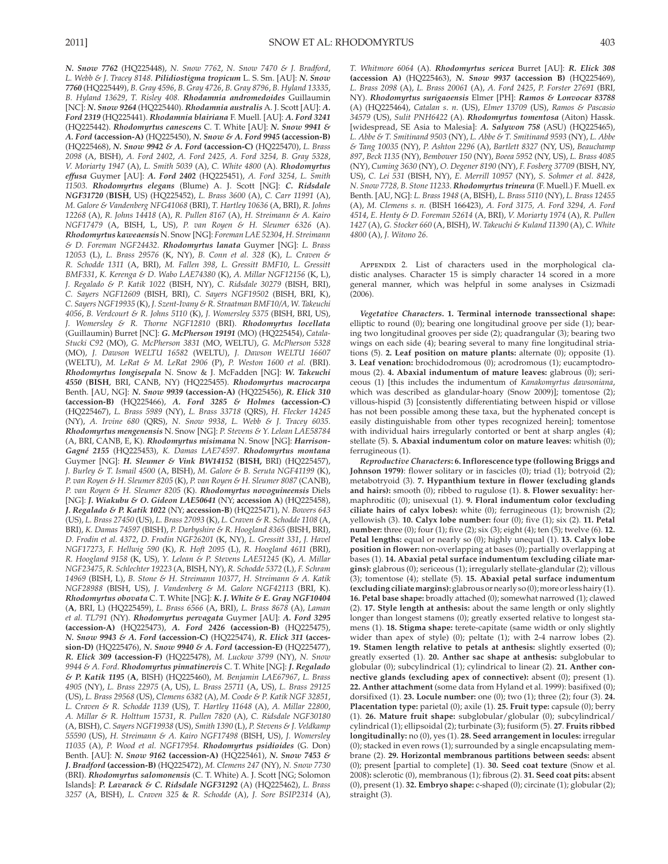*N. Snow 7762* (HQ225448), *N. Snow 7762*, *N. Snow 7470 & J. Bradford*, *L. Webb & J*. *Tracey 8148*. *Pilidiostigma tropicum* L. S. Sm. [AU]: *N. Snow 7760* (HQ225449), *B. Gray 4596*, *B. Gray 4726*, *B. Gray 8796*, *B. Hyland 13335*, *B. Hyland 13629*, *T. Risley 408. Rhodamnia andromedoides* Guillaumin [NC]: *N. Snow 9264* (HQ225440). *Rhodamnia australis* A. J. Scott [AU]: *A. Ford 2319* (HQ225441). *Rhodamnia blairiana* F. Muell. [AU]: *A. Ford 3241* (HQ225442). *Rhodomyrtus canescens* C. T. White [AU]: *N. Snow 9941 & A. Ford* **(accession-A)** (HQ225450), *N. Snow & A. Ford 9945* **(accession-B)** (HQ225468), *N. Snow 9942 & A. Ford* **(accession-C)** (HQ225470), *L. Brass 2098* (A, BISH), *A. Ford 2402*, *A. Ford 2425, A. Ford 3254, B. Gray 5328*, *V. Moriarty 1947* (A), *L. Smith 5039* (A), *C. White 4800* (A). *Rhodomyrtus effusa* Guymer [AU]: *A. Ford 2402* (HQ225451), *A. Ford 3254, L. Smith 11503*. *Rhodomyrtus elegans* (Blume) A. J. Scott [NG]: *C. Ridsdale NGF31720* (**BISH**, US) (HQ225452), *L. Brass 3600* (A), *C. Carr 11991* (A), *M. Galore & Vandenberg NFG41068* (BRI), *T. Hartley 10636* (A, BRI), *R. Johns 12268* (A), *R. Johns 14418* (A), *R. Pullen 8167* (A), *H. Streimann & A. Kairo NGF17479* (A, BISH, L, US), *P. van Royen & H. Sleumer 6326* (A). *Rhodomyrtus kaweaensis* N. Snow [NG]: *Foreman LAE 52304*, *H. Streimann & D. Foreman NGF24432*. *Rhodomyrtus lanata* Guymer [NG]: *L. Brass 12053* (L), *L. Brass 29576* (K, NY), *B. Conn et al. 328* (K), *L. Craven & R. Schodde 1311* (A, BRI), *M. Fallen 398*, *L. Gressitt BMF10*, *L. Gressitt BMF331*, *K. Kerenga & D. Wabo LAE74380* (K), *A. Millar NGF12156* (K, L), *J. Regalado & P. Katik 1022* (BISH, NY), *C. Ridsdale 30279* (BISH, BRI), *C. Sayers NGF12609* (BISH, BRI), *C. Sayers NGF19502* (BISH, BRI, K), *C. Sayers NGF19935* (K), *J. Szent-Ivany & R. Straatman BMF10/A, W. Takeuchi 4056*, *B. Verdcourt & R. Johns 5110* (K), *J. Womersley 5375* (BISH, BRI, US), *J. Womersley & R. Thorne NGF12810* (BRI). *Rhodomyrtus locellata* (Guillaumin) Burret [NC]: *G. McPherson 19191* (MO) (HQ225454), *Catala-Stucki C92* (MO), *G. McPherson 3831* (MO, WELTU), *G. McPherson 5328* (MO), *J. Dawson WELTU 16582* (WELTU), *J. Dawson WELTU 16607* (WELTU), *M. LeRat & M. LeRat 2906* (P), *P. Weston 1600 et al.* (BRI). *Rhodomyrtus longisepala* N. Snow & J. McFadden [NG]: *W. Takeuchi 4550* (**BISH**, BRI, CANB, NY) (HQ225455). *Rhodomyrtus macrocarpa* Benth. [AU, NG]: *N. Snow 9939* **(accession-A)** (HQ225456), *R. Elick 310* **(accession-B)** (HQ225466), *A. Ford 3285 & Holmes* **(accession-C)** (HQ225467), *L. Brass 5989* (NY), *L. Brass 33718* (QRS), *H. Flecker 14245* (NY), *A. Irvine 680* (QRS), *N. Snow 9938*, *L. Webb & J. Tracey 6035*. *Rhodomyrtus mengenensis* N. Snow [NG]: *P. Stevens & Y. Lelean LAE58784* (A, BRI, CANB, E, K). *Rhodomyrtus misimana* N. Snow [NG]: *Harrison-Gagné 2155* (HQ225453), *K. Damas LAE74597*. *Rhodomyrtus montana* Guymer [NG]: *H. Sleumer & Vink BW14152* (**BISH,** BRI) (HQ225457), *J. Burley & T. Ismail 4500* (A, BISH), *M. Galore & B. Seruta NGF41199* (K), *P. van Royen & H. Sleumer 8205* (K), *P. van Royen & H. Sleumer 8087* (CANB), *P. van Royen & H. Sleumer 8205* (K). *Rhodomyrtus novoguineensis* Diels [NG]: *J. Wiakubu & O. Gideon LAE50641* (NY; **accession A**) (HQ225458), *J. Regalado & P. Katik 1022* (NY; **accession-B**) (HQ225471), *N. Bowers 643* (US), *L. Brass 27450* (US), *L. Brass 27093* (K), *L. Craven & R. Schodde 1108* (A, BRI), *K. Damas 74597* (BISH), *P. Darbyshire & R. Hoogland 8365* (BISH, BRI), *D. Frodin et al. 4372*, *D. Frodin NGF26201* (K, NY), *L. Gressitt 331*, *J. Havel NGF17273*, *F. Hellwig 590* (K), *R. Hoft 2095* (L), *R. Hoogland 4611* (BRI), *R. Hoogland 9158* (K, US), *Y. Lelean & P. Stevens LAE51245* (K), *A. Millar NGF23475*, *R. Schlechter 19223* (A, BISH, NY), *R. Schodde 5372* (L), *F. Schram 14969* (BISH, L), *B. Stone & H. Streimann 10377*, *H. Streimann & A. Katik NGF28988* (BISH, US), *J. Vandenberg & M. Galore NGF42113* (BRI, K). *Rhodomyrtus obovata* C. T. White [NG]: *K. J. White & E. Gray NGF10404* (**A**, BRI, L) (HQ225459), *L. Brass 6566* (A, BRI), *L. Brass 8678* (A), *Laman et al. TL791* (NY). *Rhodomyrtus pervagata* Guymer [AU]: *A. Ford 3295* **(accession-A)** (HQ225473), *A. Ford 2426* **(accession-B)** (HQ225475), *N. Snow 9943 & A. Ford* **(accession-C)** (HQ225474), *R. Elick 311* **(accession-D)** (HQ225476), *N. Snow 9940 & A. Ford* **(accession-E)** (HQ225477), *R. Elick 309* **(accession-F)** (HQ225478), *M. Luckow 3799* (NY), *N. Snow 9944 & A. Ford*. *Rhodomyrtus pinnatinervis* C. T. White [NG]: *J. Regalado & P. Katik 1195* (**A**, BISH) (HQ225460), *M. Benjamin LAE67967*, *L. Brass 4905* (NY), *L. Brass 22975* (A, US), *L. Brass 25711* (A, US), *L. Brass 29125* (US), *L. Brass 29568* (US), *Clemens 6382* (A), *M. Coode & P. Katik NGF 32851*, *L. Craven & R. Schodde 1139* (US), *T. Hartley 11648* (A), *A. Millar 22800*, *A. Millar & R. Holttum 15731*, *R. Pullen 7820* (A), *C. Ridsdale NGF30180* (A, BISH), *C. Sayers NGF19938* (US), *Smith 1390* (L), *P. Stevens & J. Veldkamp 55590* (US), *H. Streimann & A. Kairo NGF17498* (BISH, US), *J. Womersley 11035* (A), *P. Wood et al. NGF17954*. *Rhodomyrtus psidioides* (G. Don) Benth. [AU]: *N. Snow 9162* **(accession-A)** (HQ225461), *N. Snow 7453 & J. Bradford* **(accession-B)** (HQ225472), *M. Clemens 247* (NY), *N. Snow 7730* (BRI). *Rhodomyrtus salomonensis* (C. T. White) A. J. Scott [NG; Solomon Islands]: *P. Lavarack & C. Ridsdale NGF31292* (A) (HQ225462), *L. Brass 3257* (A, BISH), *L. Craven 325* & *R. Schodde* (A), *J. Sore BSIP2314* (A), *T. Whitmore 6064* (A). *Rhodomyrtus sericea* Burret [AU]: *R. Elick 308* **(accession A)** (HQ225463), *N. Snow 9937* **(accession B)** (HQ225469), *L. Brass 2098* (A), *L. Brass 20061* (A), *A. Ford 2425*, *P. Forster 27691* (BRI, NY). *Rhodomyrtus surigaoensis* Elmer [PH]: *Ramos & Lonvocar 83788* (A) (HQ225464), *Catalan s*. *n*. (US), *Elmer 13709* (US), *Ramos & Pascasio 34579* (US), *Sulit PNH6422* (A). *Rhodomyrtus tomentosa* (Aiton) Hassk. [widespread, SE Asia to Malesia]: *A. Salywon 758* (ASU) (HQ225465), *L. Abbe & T. Smitinand 9503* (NY), *L. Abbe & T. Smitinand 9593* (NY), *L. Abbe & Tang 10035* (NY), *P. Ashton 2296* (A), *Bartlett 8327* (NY, US), *Beauchamp 897*, *Beck 1135* (NY), *Bembower 150* (NY), *Boeea 5952* (NY, US), *L. Brass 4085* (NY), *Cuming 3630* (NY), *O. Degener 8190* (NY), *F. Fosberg 37709* (BISH, NY, US), *C. Lei 531* (BISH, NY), *E. Merrill 10957* (NY), *S. Sohmer et al. 8428*, *N. Snow 7728, B. Stone 11233*. *Rhodomyrtus trineura* (F. Muell.) F. Muell. ex Benth. [AU, NG]: *L. Brass 1948* (A, BISH), *L. Brass 5110* (NY), *L. Brass 12455* (A), *M. Clemens s. n.* (BISH 166423), *A. Ford 3175, A. Ford 3294, A. Ford 4514*, *E. Henty & D. Foreman 52614* (A, BRI), *V. Moriarty 1974* (A), *R. Pullen 1427* (A), *G. Stocker 660* (A, BISH), *W*. *Takeuchi & Kuland 11390* (A), *C. White 4800* (A), *J. Witono 26*.

APPENDIX 2. List of characters used in the morphological cladistic analyses. Character 15 is simply character 14 scored in a more general manner, which was helpful in some analyses in Csizmadi (2006).

*Vegetative Characters***. 1. Terminal internode transsectional shape:** elliptic to round (0); bearing one longitudinal groove per side (1); bearing two longitudinal grooves per side (2); quadrangular (3); bearing two wings on each side (4); bearing several to many fine longitudinal striations (5). **2. Leaf position on mature plants:** alternate (0); opposite (1). **3. Leaf venation:** brochidodromous (0); acrodromous (1); eucamptodromous (2). **4. Abaxial indumentum of mature leaves:** glabrous (0); sericeous (1) [this includes the indumentum of *Kanakomyrtus dawsoniana*, which was described as glandular-hoary (Snow 2009)]; tomentose (2); villous-hispid (3) [consistently differentiating between hispid or villose has not been possible among these taxa, but the hyphenated concept is easily distinguishable from other types recognized herein]; tomentose with individual hairs irregularly contorted or bent at sharp angles (4); stellate (5). **5. Abaxial indumentum color on mature leaves:** whitish (0); ferrugineous (1).

*Reproductive Characters***: 6. Inflorescence type (following Briggs and Johnson 1979)**: flower solitary or in fascicles (0); triad (1); botryoid (2); metabotryoid (3). **7. Hypanthium texture in flower (excluding glands and hairs):** smooth (0); ribbed to rugulose (1). **8. Flower sexuality:** hermaphroditic (0); unisexual (1). **9. Floral indumentum color (excluding ciliate hairs of calyx lobes):** white (0); ferrugineous (1); brownish (2); yellowish (3). **10. Calyx lobe number:** four (0); five (1); six (2). **11. Petal number:** three (0); four (1); five (2); six (3); eight (4); ten (5); twelve (6). **12. Petal lengths:** equal or nearly so (0); highly unequal (1). **13. Calyx lobe position in flower:** non-overlapping at bases (0); partially overlapping at bases (1). **14. Abaxial petal surface indumentum (excluding ciliate margins):** glabrous (0); sericeous (1); irregularly stellate-glandular (2); villous (3); tomentose (4); stellate (5). **15. Abaxial petal surface indumentum (excludingciliatemargins):**glabrousornearlyso(0);moreorlesshairy(1). **16. Petal base shape:** broadly attached (0); somewhat narrowed (1); clawed (2). **17. Style length at anthesis:** about the same length or only slightly longer than longest stamens (0); greatly exserted relative to longest stamens (1). **18. Stigma shape:** terete-capitate (same width or only slightly wider than apex of style) (0); peltate (1); with 2-4 narrow lobes (2). **19. Stamen length relative to petals at anthesis:** slightly exserted (0); greatly exserted (1). **20. Anther sac shape at anthesis:** subglobular to globular (0); subcylindrical (1); cylindrical to linear (2). **21. Anther connective glands (excluding apex of connective):** absent (0); present (1). **22. Anther attachment** (some data from Hyland et al. 1999 ): basifixed (0); dorsifixed (1). **23. Locule number:** one (0); two (1); three (2); four (3). **24. Placentation type:** parietal (0); axile (1). **25. Fruit type:** capsule (0); berry (1). **26. Mature fruit shape:** subglobular/globular (0); subcylindrical/ cylindrical (1); ellipsoidal (2); turbinate (3); fusiform (5). **27** . **Fruits ribbed longitudinally:** no (0), yes (1). **28. Seed arrangement in locules:** irregular (0); stacked in even rows (1); surrounded by a single encapsulating membrane (2). **29. Horizontal membranous partitions between seeds:** absent (0); present [partial to complete] (1). **30. Seed coat texture** (Snow et al. 2008 ) **:** sclerotic (0), membranous (1); fibrous (2). **31. Seed coat pits:** absent (0), present (1). **32. Embryo shape:** c-shaped (0); circinate (1); globular (2); straight (3).